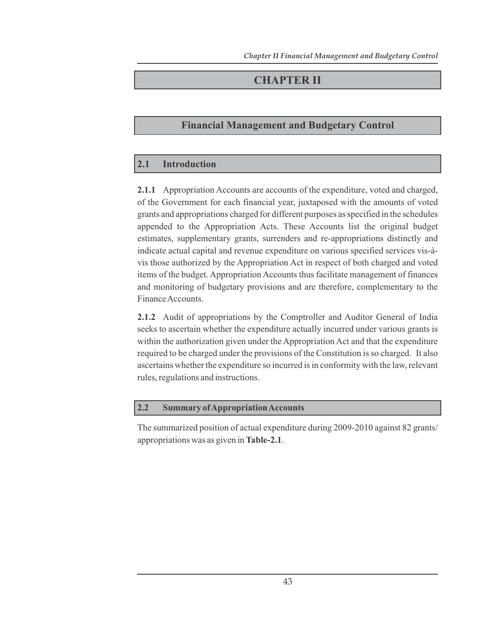# **CHAPTER II**

# **Financial Management and Budgetary Control**

# **2.1 Introduction**

**2.1.1** Appropriation Accounts are accounts of the expenditure, voted and charged, of the Government for each financial year, juxtaposed with the amounts of voted grants and appropriations charged for different purposes as specified in the schedules appended to the Appropriation Acts. These Accounts list the original budget estimates, supplementary grants, surrenders and re-appropriations distinctly and indicate actual capital and revenue expenditure on various specified services vis-àvis those authorized by the Appropriation Act in respect of both charged and voted items of the budget. Appropriation Accounts thus facilitate management of finances and monitoring of budgetary provisions and are therefore, complementary to the Finance Accounts.

**2.1.2** Audit of appropriations by the Comptroller and Auditor General of India seeks to ascertain whether the expenditure actually incurred under various grants is within the authorization given under the Appropriation Act and that the expenditure required to be charged under the provisions of the Constitution is so charged. It also ascertains whether the expenditure so incurred is in conformity with the law, relevant rules, regulations and instructions.

# **2.2 Summary of Appropriation Accounts**

The summarized position of actual expenditure during 2009-2010 against 82 grants/ appropriations was as given in **Table-2.1**.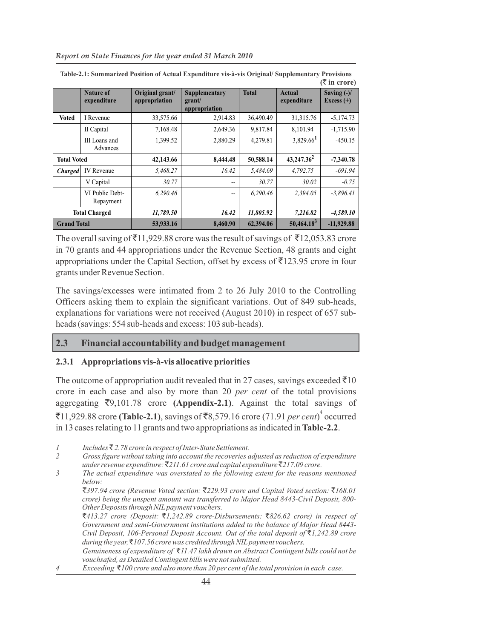|                    |                                 |                                  |                                          |              |                         | $(3 \nvert \bar{z}$ in crore) |
|--------------------|---------------------------------|----------------------------------|------------------------------------------|--------------|-------------------------|-------------------------------|
|                    | <b>Nature of</b><br>expenditure | Original grant/<br>appropriation | Supplementary<br>grant/<br>appropriation | <b>Total</b> | Actual<br>expenditure   | Saving $(-)/$<br>Excess $(+)$ |
| Voted              | I Revenue                       | 33,575.66                        | 2,914.83                                 | 36,490.49    | 31, 315.76              | $-5,174.73$                   |
|                    | II Capital                      | 7,168.48                         | 2,649.36                                 | 9,817.84     | 8,101.94                | $-1,715.90$                   |
|                    | III Loans and<br>Advances       | 1,399.52                         | 2,880.29                                 | 4,279.81     | $3,829.66$ <sup>1</sup> | $-450.15$                     |
| <b>Total Voted</b> |                                 | 42,143.66                        | 8,444.48                                 | 50,588.14    | $43,247.36^2$           | $-7,340.78$                   |
| <b>Charged</b>     | IV Revenue                      | 5,468.27                         | 16.42                                    | 5,484.69     | 4,792.75                | $-691.94$                     |
|                    | V Capital                       | 30.77                            | --                                       | 30.77        | 30.02                   | $-0.75$                       |
|                    | VI Public Debt-<br>Repayment    | 6,290.46                         | $-$                                      | 6,290.46     | 2,394.05                | $-3,896.41$                   |
|                    | <b>Total Charged</b>            | 11,789.50                        | 16.42                                    | 11,805.92    | 7,216.82                | $-4,589.10$                   |
| <b>Grand Total</b> |                                 | 53,933.16                        | 8,460.90                                 | 62,394.06    | $50,464.18^3$           | $-11,929.88$                  |

**Table-2.1: Summarized Position of Actual Expenditure vis-à-vis Original/ Supplementary Provisions**

The overall saving of  $\bar{z}$ 11,929.88 crore was the result of savings of  $\bar{z}$ 12,053.83 crore in 70 grants and 44 appropriations under the Revenue Section, 48 grants and eight appropriations under the Capital Section, offset by excess of  $\bar{\bar{\mathcal{J}}}$ 123.95 crore in four grants under Revenue Section.

The savings/excesses were intimated from 2 to 26 July 2010 to the Controlling Officers asking them to explain the significant variations. Out of 849 sub-heads, explanations for variations were not received (August 2010) in respect of 657 subheads (savings: 554 sub-heads and excess: 103 sub-heads).

#### **2.3 Financial accountability and budget management**

#### **2.3.1 Appropriations vis-à-vis allocative priorities**

The outcome of appropriation audit revealed that in 27 cases, savings exceeded  $\bar{\tau}$ 10 crore in each case and also by more than 20 *per cent* of the total provisions aggregating `9,101.78 crore **(Appendix-2.1)**. Against the total savings of ₹11,929.88 crore (Table-2.1), savings of ₹8,579.16 crore (71.91 *per cent*)<sup>4</sup> occurred in 13 cases relating to 11 grants and two appropriations as indicated in **Table-2.2**.

*Exceeding*  $\bar{\tau}$ 100 crore and also more than 20 per cent of the total provision in each case.

*<sup>1</sup> Includes* ` *2.78 crore in respect of Inter-State Settlement.*

*<sup>2</sup> Gross figure without taking into account the recoveries adjusted as reduction of expenditure under revenue expenditure:* `*211.61 crore and capital expenditure* `*217.09 crore.*

*<sup>3</sup> The actual expenditure was overstated to the following extent for the reasons mentioned below:*

<sup>`</sup>*397.94 crore (Revenue Voted section:* `*229.93 crore and Capital Voted section:* `*168.01 crore) being the unspent amount was transferred to Major Head 8443-Civil Deposit, 800- Other Deposits through NIL payment vouchers.*

<sup>`</sup>*413.27 crore (Deposit:* `*1,242.89 crore-Disbursements:* `*826.62 crore) in respect of Government and semi-Government institutions added to the balance of Major Head 8443- Civil Deposit, 106-Personal Deposit Account. Out of the total deposit of* `*1,242.89 crore during the year,* `*107.56 crore was credited through NIL payment vouchers. Genuineness of expenditure of* `*11.47 lakh drawn on Abstract Contingent bills could not be* 

*vouchsafed, as Detailed Contingent bills were not submitted.*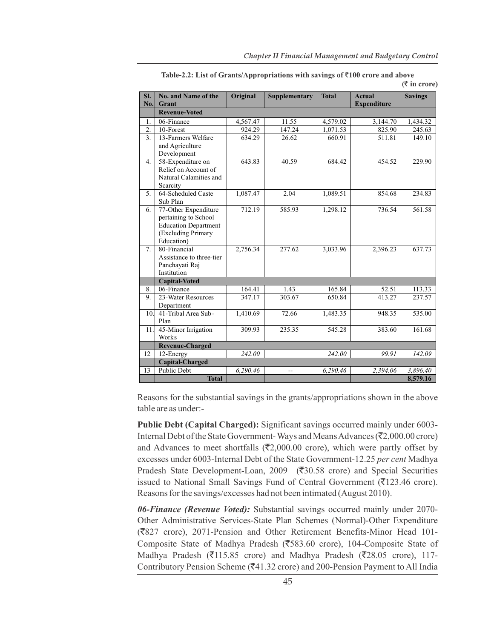| SI.<br>No.       | No. and Name of the<br>Grant                                                                                    | Original | <b>Supplementary</b> | <b>Total</b> | <b>Actual</b><br><b>Expenditure</b> | <b>Savings</b> |
|------------------|-----------------------------------------------------------------------------------------------------------------|----------|----------------------|--------------|-------------------------------------|----------------|
|                  | <b>Revenue-Voted</b>                                                                                            |          |                      |              |                                     |                |
| 1.               | 06-Finance                                                                                                      | 4,567.47 | 11.55                | 4,579.02     | 3,144.70                            | 1,434.32       |
| 2.               | 10-Forest                                                                                                       | 924.29   | 147.24               | 1,071.53     | 825.90                              | 245.63         |
| $\overline{3}$ . | 13-Farmers Welfare<br>and Agriculture<br>Development                                                            | 634.29   | 26.62                | 660.91       | 511.81                              | 149.10         |
| 4.               | 58-Expenditure on<br>Relief on Account of<br>Natural Calamities and<br>Scarcity                                 | 643.83   | 40.59                | 684.42       | 454.52                              | 229.90         |
| 5.               | 64-Scheduled Caste<br>Sub Plan                                                                                  | 1,087.47 | 2.04                 | 1,089.51     | 854.68                              | 234.83         |
| 6.               | 77-Other Expenditure<br>pertaining to School<br><b>Education Department</b><br>(Excluding Primary<br>Education) | 712.19   | 585.93               | 1,298.12     | 736.54                              | 561.58         |
| 7.               | 80-Financial<br>Assistance to three-tier<br>Panchayati Raj<br>Institution                                       | 2,756.34 | 277.62               | 3,033.96     | 2,396.23                            | 637.73         |
|                  | <b>Capital-Voted</b>                                                                                            |          |                      |              |                                     |                |
| 8.               | 06-Finance                                                                                                      | 164.41   | 1.43                 | 165.84       | 52.51                               | 113.33         |
| 9.               | 23-Water Resources<br>Department                                                                                | 347.17   | 303.67               | 650.84       | 413.27                              | 237.57         |
| 10.              | 41-Tribal Area Sub-<br>Plan                                                                                     | 1,410.69 | 72.66                | 1,483.35     | 948.35                              | 535.00         |
| 11.              | 45-Minor Irrigation<br>Works                                                                                    | 309.93   | 235.35               | 545.28       | 383.60                              | 161.68         |
|                  | <b>Revenue-Charged</b>                                                                                          |          |                      |              |                                     |                |
| 12               | 12-Energy                                                                                                       | 242.00   | $\sim$               | 242.00       | 99.91                               | 142.09         |
|                  | Capital-Charged                                                                                                 |          |                      |              |                                     |                |
| 13               | Public Debt                                                                                                     | 6.290.46 | $-$                  | 6.290.46     | 2,394.06                            | 3,896.40       |
|                  | <b>Total</b>                                                                                                    |          |                      |              |                                     | 8,579.16       |

Table-2.2: List of Grants/Appropriations with savings of  $\bar{c}100$  crore and above **(**` **in crore)**

Reasons for the substantial savings in the grants/appropriations shown in the above table are as under:-

**Public Debt (Capital Charged):** Significant savings occurred mainly under 6003- Internal Debt of the State Government-Ways and Means Advances ( $\bar{\tau}$ 2,000.00 crore) and Advances to meet shortfalls ( $\overline{(}2,000.00$  crore), which were partly offset by excesses under 6003-Internal Debt of the State Government-12.25 *per cent* Madhya Pradesh State Development-Loan, 2009 ( $\overline{30.58}$  crore) and Special Securities issued to National Small Savings Fund of Central Government ( $\overline{(}123.46$  crore). Reasons for the savings/excesses had not been intimated (August 2010).

*06-Finance (Revenue Voted):* Substantial savings occurred mainly under 2070- Other Administrative Services-State Plan Schemes (Normal)-Other Expenditure (`827 crore), 2071-Pension and Other Retirement Benefits-Minor Head 101- Composite State of Madhya Pradesh (₹583.60 crore), 104-Composite State of Madhya Pradesh ( $\overline{5}115.85$  crore) and Madhya Pradesh ( $\overline{5}28.05$  crore), 117-Contributory Pension Scheme ( $\bar{z}$ 41.32 crore) and 200-Pension Payment to All India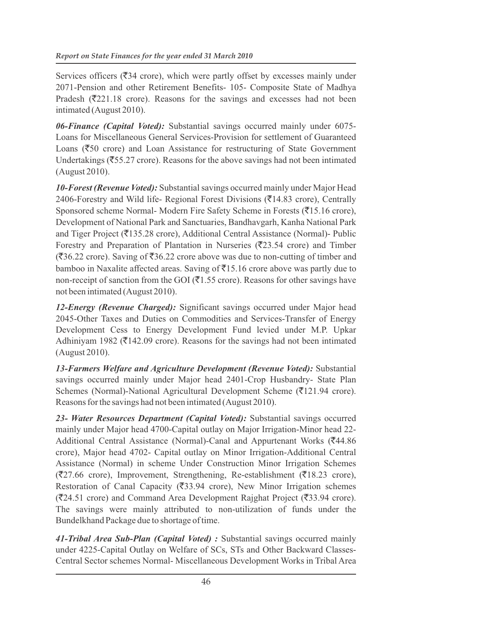Services officers ( $\overline{3}34$  crore), which were partly offset by excesses mainly under 2071-Pension and other Retirement Benefits- 105- Composite State of Madhya Pradesh ( $\overline{\mathfrak{Z}}$ 221.18 crore). Reasons for the savings and excesses had not been intimated (August 2010).

*06-Finance (Capital Voted):* Substantial savings occurred mainly under 6075- Loans for Miscellaneous General Services-Provision for settlement of Guaranteed Loans ( $\overline{\xi}$ 50 crore) and Loan Assistance for restructuring of State Government Undertakings ( $\overline{\text{55.27}}$  crore). Reasons for the above savings had not been intimated (August 2010).

*10-Forest (Revenue Voted):* Substantial savings occurred mainly under Major Head 2406-Forestry and Wild life- Regional Forest Divisions ( $\overline{5}14.83$  crore), Centrally Sponsored scheme Normal- Modern Fire Safety Scheme in Forests (₹15.16 crore), Development of National Park and Sanctuaries, Bandhavgarh, Kanha National Park and Tiger Project ( $\overline{(}135.28$  crore), Additional Central Assistance (Normal)- Public Forestry and Preparation of Plantation in Nurseries ( $\overline{\mathfrak{Z}}$ 23.54 crore) and Timber  $(\overline{\mathfrak{F}}36.22$  crore). Saving of  $\overline{\mathfrak{F}}36.22$  crore above was due to non-cutting of timber and bamboo in Naxalite affected areas. Saving of  $\bar{z}$ 15.16 crore above was partly due to non-receipt of sanction from the GOI ( $\bar{\mathfrak{C}}$ 1.55 crore). Reasons for other savings have not been intimated (August 2010).

*12-Energy (Revenue Charged):* Significant savings occurred under Major head 2045-Other Taxes and Duties on Commodities and Services-Transfer of Energy Development Cess to Energy Development Fund levied under M.P. Upkar Adhiniyam 1982 ( $\overline{\text{5}}$ 142.09 crore). Reasons for the savings had not been intimated (August 2010).

*13-Farmers Welfare and Agriculture Development (Revenue Voted):* Substantial savings occurred mainly under Major head 2401-Crop Husbandry- State Plan Schemes (Normal)-National Agricultural Development Scheme ( $\bar{\epsilon}$ 121.94 crore). Reasons for the savings had not been intimated (August 2010).

*23- Water Resources Department (Capital Voted):* Substantial savings occurred mainly under Major head 4700-Capital outlay on Major Irrigation-Minor head 22- Additional Central Assistance (Normal)-Canal and Appurtenant Works ( $\overline{5}44.86$ ) crore), Major head 4702- Capital outlay on Minor Irrigation-Additional Central Assistance (Normal) in scheme Under Construction Minor Irrigation Schemes  $(27.66 \text{ core})$ , Improvement, Strengthening, Re-establishment ( $\overline{(}18.23 \text{ core})$ ), Restoration of Canal Capacity ( $\overline{(}33.94 \text{ core})$ , New Minor Irrigation schemes  $(24.51 \text{ core})$  and Command Area Development Rajghat Project ( $\overline{\overline{3}}3.94 \text{ core}$ ). The savings were mainly attributed to non-utilization of funds under the Bundelkhand Package due to shortage of time.

*41-Tribal Area Sub-Plan (Capital Voted) :* Substantial savings occurred mainly under 4225-Capital Outlay on Welfare of SCs, STs and Other Backward Classes-Central Sector schemes Normal- Miscellaneous Development Works in Tribal Area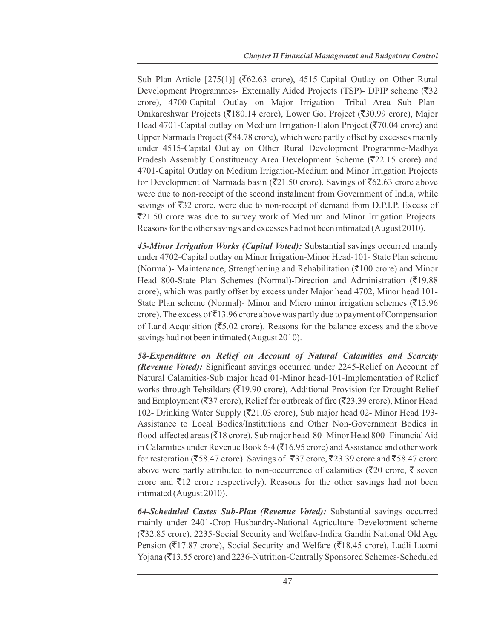Sub Plan Article [275(1)] ( $\overline{\text{562.63}}$  crore), 4515-Capital Outlay on Other Rural Development Programmes- Externally Aided Projects (TSP)- DPIP scheme  $(\overline{3}32)$ crore), 4700-Capital Outlay on Major Irrigation- Tribal Area Sub Plan-Omkareshwar Projects (₹180.14 crore), Lower Goi Project (₹30.99 crore), Major Head 4701-Capital outlay on Medium Irrigation-Halon Project ( $\overline{(}70.04$  crore) and Upper Narmada Project ( $\overline{\mathfrak{F}}84.78$  crore), which were partly offset by excesses mainly under 4515-Capital Outlay on Other Rural Development Programme-Madhya Pradesh Assembly Constituency Area Development Scheme ( $\overline{\mathfrak{Z}}22.15$  crore) and 4701-Capital Outlay on Medium Irrigation-Medium and Minor Irrigation Projects for Development of Narmada basin ( $\overline{(}21.50$  crore). Savings of  $\overline{(}62.63)$  crore above were due to non-receipt of the second instalment from Government of India, while savings of  $\overline{532}$  crore, were due to non-receipt of demand from D.P.I.P. Excess of `21.50 crore was due to survey work of Medium and Minor Irrigation Projects. Reasons for the other savings and excesses had not been intimated (August 2010).

*45-Minor Irrigation Works (Capital Voted):* Substantial savings occurred mainly under 4702-Capital outlay on Minor Irrigation-Minor Head-101- State Plan scheme (Normal)- Maintenance, Strengthening and Rehabilitation ( $\bar{\tau}$ 100 crore) and Minor Head 800-State Plan Schemes (Normal)-Direction and Administration  $(\overline{5}19.88)$ crore), which was partly offset by excess under Major head 4702, Minor head 101- State Plan scheme (Normal)- Minor and Micro minor irrigation schemes ( $\overline{\mathfrak{Z}}13.96$ ) crore). The excess of  $\bar{z}$ 13.96 crore above was partly due to payment of Compensation of Land Acquisition ( $\overline{5.02}$  crore). Reasons for the balance excess and the above savings had not been intimated (August 2010).

*58-Expenditure on Relief on Account of Natural Calamities and Scarcity (Revenue Voted):* Significant savings occurred under 2245-Relief on Account of Natural Calamities-Sub major head 01-Minor head-101-Implementation of Relief works through Tehsildars ( $\overline{5}19.90$  crore), Additional Provision for Drought Relief and Employment ( $\overline{(}37 \text{ core})$ , Relief for outbreak of fire ( $\overline{(}23.39 \text{ core})$ , Minor Head 102- Drinking Water Supply ( $\overline{\mathfrak{Z}}21.03$  crore), Sub major head 02- Minor Head 193-Assistance to Local Bodies/Institutions and Other Non-Government Bodies in flood-affected areas ( $\overline{3}18$  crore), Sub major head-80- Minor Head 800- Financial Aid in Calamities under Revenue Book 6-4 ( $\overline{5}$ 16.95 crore) and Assistance and other work for restoration ( $\overline{5}8.47$  crore). Savings of  $\overline{5}37$  crore,  $\overline{5}23.39$  crore and  $\overline{5}8.47$  crore above were partly attributed to non-occurrence of calamities ( $\overline{\xi}$ 20 crore,  $\overline{\xi}$  seven crore and  $\bar{\mathfrak{Z}}$ 12 crore respectively). Reasons for the other savings had not been intimated (August 2010).

*64-Scheduled Castes Sub-Plan (Revenue Voted):* Substantial savings occurred mainly under 2401-Crop Husbandry-National Agriculture Development scheme (`32.85 crore), 2235-Social Security and Welfare-Indira Gandhi National Old Age Pension ( $\overline{\xi}$ 17.87 crore), Social Security and Welfare ( $\overline{\xi}$ 18.45 crore), Ladli Laxmi Yojana ( $\overline{\xi}$ 13.55 crore) and 2236-Nutrition-Centrally Sponsored Schemes-Scheduled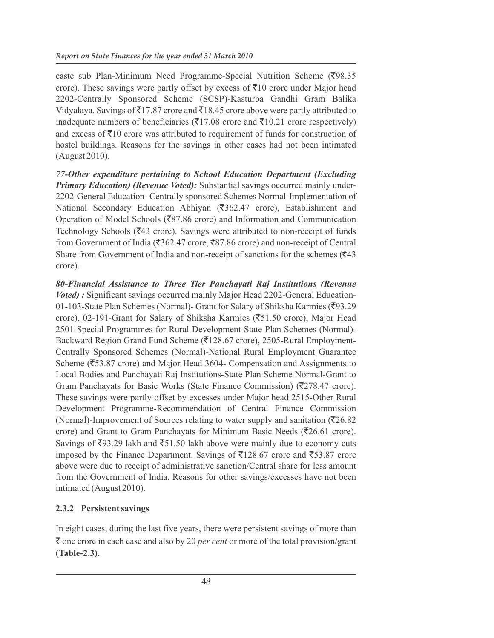caste sub Plan-Minimum Need Programme-Special Nutrition Scheme (₹98.35 crore). These savings were partly offset by excess of  $\bar{\tau}10$  crore under Major head 2202-Centrally Sponsored Scheme (SCSP)-Kasturba Gandhi Gram Balika Vidyalaya. Savings of  $\overline{5}17.87$  crore and  $\overline{5}18.45$  crore above were partly attributed to inadequate numbers of beneficiaries ( $\bar{\tau}$ 17.08 crore and  $\bar{\tau}$ 10.21 crore respectively) and excess of  $\bar{z}10$  crore was attributed to requirement of funds for construction of hostel buildings. Reasons for the savings in other cases had not been intimated (August 2010).

*77-Other expenditure pertaining to School Education Department (Excluding Primary Education) (Revenue Voted):* Substantial savings occurred mainly under-2202-General Education- Centrally sponsored Schemes Normal-Implementation of National Secondary Education Abhiyan (₹362.47 crore), Establishment and Operation of Model Schools ( $\overline{\mathfrak{F}}$ 87.86 crore) and Information and Communication Technology Schools ( $\overline{\mathfrak{g}}$ 43 crore). Savings were attributed to non-receipt of funds from Government of India ( $\overline{362.47}$  crore,  $\overline{387.86}$  crore) and non-receipt of Central Share from Government of India and non-receipt of sanctions for the schemes ( $\overline{\mathfrak{F}}43$ ) crore).

*80-Financial Assistance to Three Tier Panchayati Raj Institutions (Revenue Voted*) : Significant savings occurred mainly Major Head 2202-General Education-01-103-State Plan Schemes (Normal)- Grant for Salary of Shiksha Karmies ( $\overline{5}93.29$ crore), 02-191-Grant for Salary of Shiksha Karmies (₹51.50 crore), Major Head 2501-Special Programmes for Rural Development-State Plan Schemes (Normal)- Backward Region Grand Fund Scheme (₹128.67 crore), 2505-Rural Employment-Centrally Sponsored Schemes (Normal)-National Rural Employment Guarantee Scheme ( $\overline{$}53.87$  crore) and Major Head 3604- Compensation and Assignments to Local Bodies and Panchayati Raj Institutions-State Plan Scheme Normal-Grant to Gram Panchayats for Basic Works (State Finance Commission) ( $\overline{\mathfrak{Z}}$  278.47 crore). These savings were partly offset by excesses under Major head 2515-Other Rural Development Programme-Recommendation of Central Finance Commission (Normal)-Improvement of Sources relating to water supply and sanitation ( $\overline{526.82}$ ) crore) and Grant to Gram Panchayats for Minimum Basic Needs ( $\overline{\mathfrak{Z}}26.61$  crore). Savings of  $\overline{593.29}$  lakh and  $\overline{51.50}$  lakh above were mainly due to economy cuts imposed by the Finance Department. Savings of  $\overline{\xi}$ 128.67 crore and  $\overline{\xi}$ 53.87 crore above were due to receipt of administrative sanction/Central share for less amount from the Government of India. Reasons for other savings/excesses have not been intimated (August 2010).

#### **2.3.2 Persistent savings**

In eight cases, during the last five years, there were persistent savings of more than  $\bar{\tau}$  one crore in each case and also by 20 *per cent* or more of the total provision/grant **(Table-2.3)**.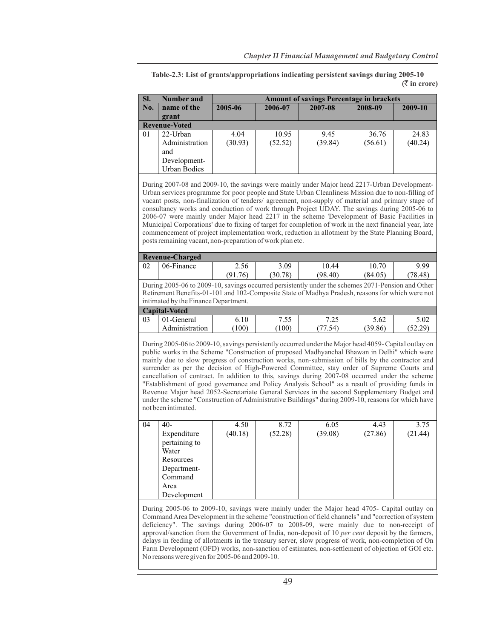|                                                                                                                                                                                                                                                                                                                                                                                                                                                                                                                                                                                                                                                                                                                                                                                                                    |                                                                                                                                                                                                                                               |                 |                  |                                                 |                  | $(\bar{\bar{\mathcal{R}}}$ in crore |  |  |  |
|--------------------------------------------------------------------------------------------------------------------------------------------------------------------------------------------------------------------------------------------------------------------------------------------------------------------------------------------------------------------------------------------------------------------------------------------------------------------------------------------------------------------------------------------------------------------------------------------------------------------------------------------------------------------------------------------------------------------------------------------------------------------------------------------------------------------|-----------------------------------------------------------------------------------------------------------------------------------------------------------------------------------------------------------------------------------------------|-----------------|------------------|-------------------------------------------------|------------------|-------------------------------------|--|--|--|
| SI.                                                                                                                                                                                                                                                                                                                                                                                                                                                                                                                                                                                                                                                                                                                                                                                                                | <b>Number and</b>                                                                                                                                                                                                                             |                 |                  | <b>Amount of savings Percentage in brackets</b> |                  |                                     |  |  |  |
| No.                                                                                                                                                                                                                                                                                                                                                                                                                                                                                                                                                                                                                                                                                                                                                                                                                | name of the<br>grant                                                                                                                                                                                                                          | 2005-06         | 2006-07          | 2007-08                                         | 2008-09          | 2009-10                             |  |  |  |
| <b>Revenue-Voted</b>                                                                                                                                                                                                                                                                                                                                                                                                                                                                                                                                                                                                                                                                                                                                                                                               |                                                                                                                                                                                                                                               |                 |                  |                                                 |                  |                                     |  |  |  |
| 01                                                                                                                                                                                                                                                                                                                                                                                                                                                                                                                                                                                                                                                                                                                                                                                                                 | $22$ -Urban<br>Administration<br>and<br>Development-<br><b>Urban Bodies</b>                                                                                                                                                                   | 4.04<br>(30.93) | 10.95<br>(52.52) | 9.45<br>(39.84)                                 | 36.76<br>(56.61) | 24.83<br>(40.24)                    |  |  |  |
| During 2007-08 and 2009-10, the savings were mainly under Major head 2217-Urban Development-<br>Urban services programme for poor people and State Urban Cleanliness Mission due to non-filling of<br>vacant posts, non-finalization of tenders/ agreement, non-supply of material and primary stage of<br>consultancy works and conduction of work through Project UDAY. The savings during 2005-06 to<br>2006-07 were mainly under Major head 2217 in the scheme 'Development of Basic Facilities in<br>Municipal Corporations' due to fixing of target for completion of work in the next financial year, late<br>commencement of project implementation work, reduction in allotment by the State Planning Board,<br>posts remaining vacant, non-preparation of work plan etc.                                 |                                                                                                                                                                                                                                               |                 |                  |                                                 |                  |                                     |  |  |  |
|                                                                                                                                                                                                                                                                                                                                                                                                                                                                                                                                                                                                                                                                                                                                                                                                                    | <b>Revenue-Charged</b>                                                                                                                                                                                                                        |                 |                  |                                                 |                  |                                     |  |  |  |
| 02                                                                                                                                                                                                                                                                                                                                                                                                                                                                                                                                                                                                                                                                                                                                                                                                                 | 06-Finance                                                                                                                                                                                                                                    | 2.56<br>(91.76) | 3.09<br>(30.78)  | 10.44<br>(98.40)                                | 10.70<br>(84.05) | 9.99<br>(78.48)                     |  |  |  |
|                                                                                                                                                                                                                                                                                                                                                                                                                                                                                                                                                                                                                                                                                                                                                                                                                    | During 2005-06 to 2009-10, savings occurred persistently under the schemes 2071-Pension and Other<br>Retirement Benefits-01-101 and 102-Composite State of Madhya Pradesh, reasons for which were not<br>intimated by the Finance Department. |                 |                  |                                                 |                  |                                     |  |  |  |
|                                                                                                                                                                                                                                                                                                                                                                                                                                                                                                                                                                                                                                                                                                                                                                                                                    | <b>Capital-Voted</b>                                                                                                                                                                                                                          |                 |                  |                                                 |                  |                                     |  |  |  |
| 03                                                                                                                                                                                                                                                                                                                                                                                                                                                                                                                                                                                                                                                                                                                                                                                                                 | 01-General<br>Administration                                                                                                                                                                                                                  | 6.10<br>(100)   | 7.55<br>(100)    | 7.25<br>(77.54)                                 | 5.62<br>(39.86)  | 5.02<br>(52.29)                     |  |  |  |
| During 2005-06 to 2009-10, savings persistently occurred under the Major head 4059- Capital outlay on<br>public works in the Scheme "Construction of proposed Madhyanchal Bhawan in Delhi" which were<br>mainly due to slow progress of construction works, non-submission of bills by the contractor and<br>surrender as per the decision of High-Powered Committee, stay order of Supreme Courts and<br>cancellation of contract. In addition to this, savings during 2007-08 occurred under the scheme<br>"Establishment of good governance and Policy Analysis School" as a result of providing funds in<br>Revenue Major head 2052-Secretariate General Services in the second Supplementary Budget and<br>under the scheme "Construction of Administrative Buildings" during 2009-10, reasons for which have |                                                                                                                                                                                                                                               |                 |                  |                                                 |                  |                                     |  |  |  |

**Table-2.3: List of grants/appropriations indicating persistent savings during 2005-10 (**` **in crore)**

| 04 | $40-$         | 4.50    | 8.72    | 6.05    | 4.43    | 3.75    |
|----|---------------|---------|---------|---------|---------|---------|
|    | Expenditure   | (40.18) | (52.28) | (39.08) | (27.86) | (21.44) |
|    | pertaining to |         |         |         |         |         |
|    | Water         |         |         |         |         |         |
|    | Resources     |         |         |         |         |         |
|    | Department-   |         |         |         |         |         |
|    | Command       |         |         |         |         |         |
|    | Area          |         |         |         |         |         |
|    | Development   |         |         |         |         |         |

not been intimated.

During 2005-06 to 2009-10, savings were mainly under the Major head 4705- Capital outlay on Command Area Development in the scheme "construction of field channels" and "correction of system deficiency". The savings during 2006-07 to 2008-09, were mainly due to non-receipt of approval/sanction from the Government of India, non-deposit of 10 *per cent* deposit by the farmers, delays in feeding of allotments in the treasury server, slow progress of work, non-completion of On Farm Development (OFD) works, non-sanction of estimates, non-settlement of objection of GOI etc. No reasons were given for 2005-06 and 2009-10.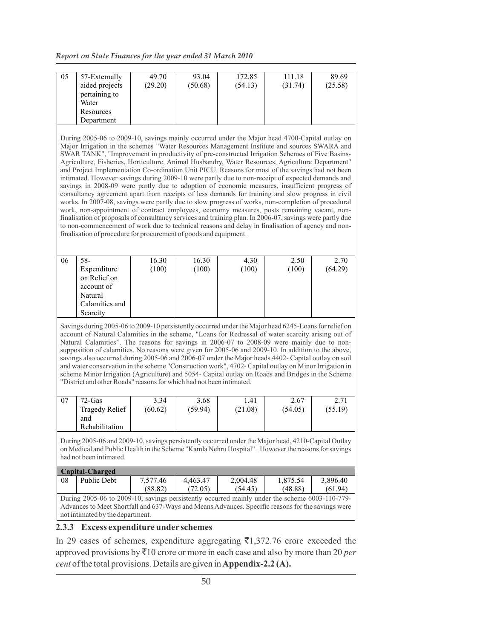*Report on State Finances for the year ended 31 March 2010*

| 172.85<br>111.18<br>57-Externally<br>49.70<br>93.04<br>89.69<br>05<br>aided projects<br>(29.20)<br>(50.68)<br>(31.74)<br>(25.58)<br>(54.13)<br>pertaining to<br>Water<br>Resources<br>Department<br>During 2005-06 to 2009-10, savings mainly occurred under the Major head 4700-Capital outlay on<br>Major Irrigation in the schemes "Water Resources Management Institute and sources SWARA and<br>SWAR TANK", "Improvement in productivity of pre-constructed Irrigation Schemes of Five Basins-<br>Agriculture, Fisheries, Horticulture, Animal Husbandry, Water Resources, Agriculture Department"<br>and Project Implementation Co-ordination Unit PICU. Reasons for most of the savings had not been<br>intimated. However savings during 2009-10 were partly due to non-receipt of expected demands and<br>savings in 2008-09 were partly due to adoption of economic measures, insufficient progress of<br>consultancy agreement apart from receipts of less demands for training and slow progress in civil<br>works. In 2007-08, savings were partly due to slow progress of works, non-completion of procedural<br>work, non-appointment of contract employees, economy measures, posts remaining vacant, non-<br>finalisation of proposals of consultancy services and training plan. In 2006-07, savings were partly due<br>to non-commencement of work due to technical reasons and delay in finalisation of agency and non-<br>finalisation of procedure for procurement of goods and equipment.<br>$58 -$<br>16.30<br>16.30<br>2.50<br>06<br>4.30<br>2.70<br>(64.29)<br>(100)<br>(100)<br>(100)<br>(100)<br>Expenditure<br>on Relief on<br>account of<br>Natural<br>Calamities and<br>Scarcity<br>Savings during 2005-06 to 2009-10 persistently occurred under the Major head 6245-Loans for relief on<br>account of Natural Calamities in the scheme, "Loans for Redressal of water scarcity arising out of<br>Natural Calamities". The reasons for savings in 2006-07 to 2008-09 were mainly due to non-<br>supposition of calamities. No reasons were given for 2005-06 and 2009-10. In addition to the above,<br>savings also occurred during 2005-06 and 2006-07 under the Major heads 4402- Capital outlay on soil<br>and water conservation in the scheme "Construction work", 4702- Capital outlay on Minor Irrigation in<br>scheme Minor Irrigation (Agriculture) and 5054- Capital outlay on Roads and Bridges in the Scheme<br>"District and other Roads" reasons for which had not been intimated.<br>1.41<br>$72-Gas$<br>3.34<br>3.68<br>2.67<br>2.71<br>07<br><b>Tragedy Relief</b><br>(60.62)<br>(59.94)<br>(21.08)<br>(55.19)<br>(54.05)<br>and<br>Rehabilitation<br>During 2005-06 and 2009-10, savings persistently occurred under the Major head, 4210-Capital Outlay<br>on Medical and Public Health in the Scheme "Kamla Nehru Hospital". However the reasons for savings<br>had not been intimated.<br>Capital-Charged<br>Public Debt<br>4,463.47<br>3,896.40<br>08<br>7,577.46<br>2,004.48<br>1,875.54<br>(88.82)<br>(72.05)<br>(54.45)<br>(48.88)<br>(61.94)<br>During 2005-06 to 2009-10, savings persistently occurred mainly under the scheme 6003-110-779-<br>Advances to Meet Shortfall and 637-Ways and Means Advances. Specific reasons for the savings were |  |  |  |  |  |  |  |  |  |  |  |
|---------------------------------------------------------------------------------------------------------------------------------------------------------------------------------------------------------------------------------------------------------------------------------------------------------------------------------------------------------------------------------------------------------------------------------------------------------------------------------------------------------------------------------------------------------------------------------------------------------------------------------------------------------------------------------------------------------------------------------------------------------------------------------------------------------------------------------------------------------------------------------------------------------------------------------------------------------------------------------------------------------------------------------------------------------------------------------------------------------------------------------------------------------------------------------------------------------------------------------------------------------------------------------------------------------------------------------------------------------------------------------------------------------------------------------------------------------------------------------------------------------------------------------------------------------------------------------------------------------------------------------------------------------------------------------------------------------------------------------------------------------------------------------------------------------------------------------------------------------------------------------------------------------------------------------------------------------------------------------------------------------------------------------------------------------------------------------------------------------------------------------------------------------------------------------------------------------------------------------------------------------------------------------------------------------------------------------------------------------------------------------------------------------------------------------------------------------------------------------------------------------------------------------------------------------------------------------------------------------------------------------------------------------------------------------------------------------------------------------------------------------------------------------------------------------------------------------------------------------------------------------------------------------------------------------------------------------------------------------------------------------------------------------------------------------------------------------------------------------------------------------------------------------------------------------------------------------------------------------------------------------------------------------------------------------------|--|--|--|--|--|--|--|--|--|--|--|
|                                                                                                                                                                                                                                                                                                                                                                                                                                                                                                                                                                                                                                                                                                                                                                                                                                                                                                                                                                                                                                                                                                                                                                                                                                                                                                                                                                                                                                                                                                                                                                                                                                                                                                                                                                                                                                                                                                                                                                                                                                                                                                                                                                                                                                                                                                                                                                                                                                                                                                                                                                                                                                                                                                                                                                                                                                                                                                                                                                                                                                                                                                                                                                                                                                                                                                               |  |  |  |  |  |  |  |  |  |  |  |
|                                                                                                                                                                                                                                                                                                                                                                                                                                                                                                                                                                                                                                                                                                                                                                                                                                                                                                                                                                                                                                                                                                                                                                                                                                                                                                                                                                                                                                                                                                                                                                                                                                                                                                                                                                                                                                                                                                                                                                                                                                                                                                                                                                                                                                                                                                                                                                                                                                                                                                                                                                                                                                                                                                                                                                                                                                                                                                                                                                                                                                                                                                                                                                                                                                                                                                               |  |  |  |  |  |  |  |  |  |  |  |
|                                                                                                                                                                                                                                                                                                                                                                                                                                                                                                                                                                                                                                                                                                                                                                                                                                                                                                                                                                                                                                                                                                                                                                                                                                                                                                                                                                                                                                                                                                                                                                                                                                                                                                                                                                                                                                                                                                                                                                                                                                                                                                                                                                                                                                                                                                                                                                                                                                                                                                                                                                                                                                                                                                                                                                                                                                                                                                                                                                                                                                                                                                                                                                                                                                                                                                               |  |  |  |  |  |  |  |  |  |  |  |
|                                                                                                                                                                                                                                                                                                                                                                                                                                                                                                                                                                                                                                                                                                                                                                                                                                                                                                                                                                                                                                                                                                                                                                                                                                                                                                                                                                                                                                                                                                                                                                                                                                                                                                                                                                                                                                                                                                                                                                                                                                                                                                                                                                                                                                                                                                                                                                                                                                                                                                                                                                                                                                                                                                                                                                                                                                                                                                                                                                                                                                                                                                                                                                                                                                                                                                               |  |  |  |  |  |  |  |  |  |  |  |
|                                                                                                                                                                                                                                                                                                                                                                                                                                                                                                                                                                                                                                                                                                                                                                                                                                                                                                                                                                                                                                                                                                                                                                                                                                                                                                                                                                                                                                                                                                                                                                                                                                                                                                                                                                                                                                                                                                                                                                                                                                                                                                                                                                                                                                                                                                                                                                                                                                                                                                                                                                                                                                                                                                                                                                                                                                                                                                                                                                                                                                                                                                                                                                                                                                                                                                               |  |  |  |  |  |  |  |  |  |  |  |
|                                                                                                                                                                                                                                                                                                                                                                                                                                                                                                                                                                                                                                                                                                                                                                                                                                                                                                                                                                                                                                                                                                                                                                                                                                                                                                                                                                                                                                                                                                                                                                                                                                                                                                                                                                                                                                                                                                                                                                                                                                                                                                                                                                                                                                                                                                                                                                                                                                                                                                                                                                                                                                                                                                                                                                                                                                                                                                                                                                                                                                                                                                                                                                                                                                                                                                               |  |  |  |  |  |  |  |  |  |  |  |
|                                                                                                                                                                                                                                                                                                                                                                                                                                                                                                                                                                                                                                                                                                                                                                                                                                                                                                                                                                                                                                                                                                                                                                                                                                                                                                                                                                                                                                                                                                                                                                                                                                                                                                                                                                                                                                                                                                                                                                                                                                                                                                                                                                                                                                                                                                                                                                                                                                                                                                                                                                                                                                                                                                                                                                                                                                                                                                                                                                                                                                                                                                                                                                                                                                                                                                               |  |  |  |  |  |  |  |  |  |  |  |
|                                                                                                                                                                                                                                                                                                                                                                                                                                                                                                                                                                                                                                                                                                                                                                                                                                                                                                                                                                                                                                                                                                                                                                                                                                                                                                                                                                                                                                                                                                                                                                                                                                                                                                                                                                                                                                                                                                                                                                                                                                                                                                                                                                                                                                                                                                                                                                                                                                                                                                                                                                                                                                                                                                                                                                                                                                                                                                                                                                                                                                                                                                                                                                                                                                                                                                               |  |  |  |  |  |  |  |  |  |  |  |
|                                                                                                                                                                                                                                                                                                                                                                                                                                                                                                                                                                                                                                                                                                                                                                                                                                                                                                                                                                                                                                                                                                                                                                                                                                                                                                                                                                                                                                                                                                                                                                                                                                                                                                                                                                                                                                                                                                                                                                                                                                                                                                                                                                                                                                                                                                                                                                                                                                                                                                                                                                                                                                                                                                                                                                                                                                                                                                                                                                                                                                                                                                                                                                                                                                                                                                               |  |  |  |  |  |  |  |  |  |  |  |
|                                                                                                                                                                                                                                                                                                                                                                                                                                                                                                                                                                                                                                                                                                                                                                                                                                                                                                                                                                                                                                                                                                                                                                                                                                                                                                                                                                                                                                                                                                                                                                                                                                                                                                                                                                                                                                                                                                                                                                                                                                                                                                                                                                                                                                                                                                                                                                                                                                                                                                                                                                                                                                                                                                                                                                                                                                                                                                                                                                                                                                                                                                                                                                                                                                                                                                               |  |  |  |  |  |  |  |  |  |  |  |
|                                                                                                                                                                                                                                                                                                                                                                                                                                                                                                                                                                                                                                                                                                                                                                                                                                                                                                                                                                                                                                                                                                                                                                                                                                                                                                                                                                                                                                                                                                                                                                                                                                                                                                                                                                                                                                                                                                                                                                                                                                                                                                                                                                                                                                                                                                                                                                                                                                                                                                                                                                                                                                                                                                                                                                                                                                                                                                                                                                                                                                                                                                                                                                                                                                                                                                               |  |  |  |  |  |  |  |  |  |  |  |
|                                                                                                                                                                                                                                                                                                                                                                                                                                                                                                                                                                                                                                                                                                                                                                                                                                                                                                                                                                                                                                                                                                                                                                                                                                                                                                                                                                                                                                                                                                                                                                                                                                                                                                                                                                                                                                                                                                                                                                                                                                                                                                                                                                                                                                                                                                                                                                                                                                                                                                                                                                                                                                                                                                                                                                                                                                                                                                                                                                                                                                                                                                                                                                                                                                                                                                               |  |  |  |  |  |  |  |  |  |  |  |
|                                                                                                                                                                                                                                                                                                                                                                                                                                                                                                                                                                                                                                                                                                                                                                                                                                                                                                                                                                                                                                                                                                                                                                                                                                                                                                                                                                                                                                                                                                                                                                                                                                                                                                                                                                                                                                                                                                                                                                                                                                                                                                                                                                                                                                                                                                                                                                                                                                                                                                                                                                                                                                                                                                                                                                                                                                                                                                                                                                                                                                                                                                                                                                                                                                                                                                               |  |  |  |  |  |  |  |  |  |  |  |
|                                                                                                                                                                                                                                                                                                                                                                                                                                                                                                                                                                                                                                                                                                                                                                                                                                                                                                                                                                                                                                                                                                                                                                                                                                                                                                                                                                                                                                                                                                                                                                                                                                                                                                                                                                                                                                                                                                                                                                                                                                                                                                                                                                                                                                                                                                                                                                                                                                                                                                                                                                                                                                                                                                                                                                                                                                                                                                                                                                                                                                                                                                                                                                                                                                                                                                               |  |  |  |  |  |  |  |  |  |  |  |
|                                                                                                                                                                                                                                                                                                                                                                                                                                                                                                                                                                                                                                                                                                                                                                                                                                                                                                                                                                                                                                                                                                                                                                                                                                                                                                                                                                                                                                                                                                                                                                                                                                                                                                                                                                                                                                                                                                                                                                                                                                                                                                                                                                                                                                                                                                                                                                                                                                                                                                                                                                                                                                                                                                                                                                                                                                                                                                                                                                                                                                                                                                                                                                                                                                                                                                               |  |  |  |  |  |  |  |  |  |  |  |
|                                                                                                                                                                                                                                                                                                                                                                                                                                                                                                                                                                                                                                                                                                                                                                                                                                                                                                                                                                                                                                                                                                                                                                                                                                                                                                                                                                                                                                                                                                                                                                                                                                                                                                                                                                                                                                                                                                                                                                                                                                                                                                                                                                                                                                                                                                                                                                                                                                                                                                                                                                                                                                                                                                                                                                                                                                                                                                                                                                                                                                                                                                                                                                                                                                                                                                               |  |  |  |  |  |  |  |  |  |  |  |
|                                                                                                                                                                                                                                                                                                                                                                                                                                                                                                                                                                                                                                                                                                                                                                                                                                                                                                                                                                                                                                                                                                                                                                                                                                                                                                                                                                                                                                                                                                                                                                                                                                                                                                                                                                                                                                                                                                                                                                                                                                                                                                                                                                                                                                                                                                                                                                                                                                                                                                                                                                                                                                                                                                                                                                                                                                                                                                                                                                                                                                                                                                                                                                                                                                                                                                               |  |  |  |  |  |  |  |  |  |  |  |
|                                                                                                                                                                                                                                                                                                                                                                                                                                                                                                                                                                                                                                                                                                                                                                                                                                                                                                                                                                                                                                                                                                                                                                                                                                                                                                                                                                                                                                                                                                                                                                                                                                                                                                                                                                                                                                                                                                                                                                                                                                                                                                                                                                                                                                                                                                                                                                                                                                                                                                                                                                                                                                                                                                                                                                                                                                                                                                                                                                                                                                                                                                                                                                                                                                                                                                               |  |  |  |  |  |  |  |  |  |  |  |
|                                                                                                                                                                                                                                                                                                                                                                                                                                                                                                                                                                                                                                                                                                                                                                                                                                                                                                                                                                                                                                                                                                                                                                                                                                                                                                                                                                                                                                                                                                                                                                                                                                                                                                                                                                                                                                                                                                                                                                                                                                                                                                                                                                                                                                                                                                                                                                                                                                                                                                                                                                                                                                                                                                                                                                                                                                                                                                                                                                                                                                                                                                                                                                                                                                                                                                               |  |  |  |  |  |  |  |  |  |  |  |
|                                                                                                                                                                                                                                                                                                                                                                                                                                                                                                                                                                                                                                                                                                                                                                                                                                                                                                                                                                                                                                                                                                                                                                                                                                                                                                                                                                                                                                                                                                                                                                                                                                                                                                                                                                                                                                                                                                                                                                                                                                                                                                                                                                                                                                                                                                                                                                                                                                                                                                                                                                                                                                                                                                                                                                                                                                                                                                                                                                                                                                                                                                                                                                                                                                                                                                               |  |  |  |  |  |  |  |  |  |  |  |
|                                                                                                                                                                                                                                                                                                                                                                                                                                                                                                                                                                                                                                                                                                                                                                                                                                                                                                                                                                                                                                                                                                                                                                                                                                                                                                                                                                                                                                                                                                                                                                                                                                                                                                                                                                                                                                                                                                                                                                                                                                                                                                                                                                                                                                                                                                                                                                                                                                                                                                                                                                                                                                                                                                                                                                                                                                                                                                                                                                                                                                                                                                                                                                                                                                                                                                               |  |  |  |  |  |  |  |  |  |  |  |
|                                                                                                                                                                                                                                                                                                                                                                                                                                                                                                                                                                                                                                                                                                                                                                                                                                                                                                                                                                                                                                                                                                                                                                                                                                                                                                                                                                                                                                                                                                                                                                                                                                                                                                                                                                                                                                                                                                                                                                                                                                                                                                                                                                                                                                                                                                                                                                                                                                                                                                                                                                                                                                                                                                                                                                                                                                                                                                                                                                                                                                                                                                                                                                                                                                                                                                               |  |  |  |  |  |  |  |  |  |  |  |
|                                                                                                                                                                                                                                                                                                                                                                                                                                                                                                                                                                                                                                                                                                                                                                                                                                                                                                                                                                                                                                                                                                                                                                                                                                                                                                                                                                                                                                                                                                                                                                                                                                                                                                                                                                                                                                                                                                                                                                                                                                                                                                                                                                                                                                                                                                                                                                                                                                                                                                                                                                                                                                                                                                                                                                                                                                                                                                                                                                                                                                                                                                                                                                                                                                                                                                               |  |  |  |  |  |  |  |  |  |  |  |
|                                                                                                                                                                                                                                                                                                                                                                                                                                                                                                                                                                                                                                                                                                                                                                                                                                                                                                                                                                                                                                                                                                                                                                                                                                                                                                                                                                                                                                                                                                                                                                                                                                                                                                                                                                                                                                                                                                                                                                                                                                                                                                                                                                                                                                                                                                                                                                                                                                                                                                                                                                                                                                                                                                                                                                                                                                                                                                                                                                                                                                                                                                                                                                                                                                                                                                               |  |  |  |  |  |  |  |  |  |  |  |
|                                                                                                                                                                                                                                                                                                                                                                                                                                                                                                                                                                                                                                                                                                                                                                                                                                                                                                                                                                                                                                                                                                                                                                                                                                                                                                                                                                                                                                                                                                                                                                                                                                                                                                                                                                                                                                                                                                                                                                                                                                                                                                                                                                                                                                                                                                                                                                                                                                                                                                                                                                                                                                                                                                                                                                                                                                                                                                                                                                                                                                                                                                                                                                                                                                                                                                               |  |  |  |  |  |  |  |  |  |  |  |
|                                                                                                                                                                                                                                                                                                                                                                                                                                                                                                                                                                                                                                                                                                                                                                                                                                                                                                                                                                                                                                                                                                                                                                                                                                                                                                                                                                                                                                                                                                                                                                                                                                                                                                                                                                                                                                                                                                                                                                                                                                                                                                                                                                                                                                                                                                                                                                                                                                                                                                                                                                                                                                                                                                                                                                                                                                                                                                                                                                                                                                                                                                                                                                                                                                                                                                               |  |  |  |  |  |  |  |  |  |  |  |
|                                                                                                                                                                                                                                                                                                                                                                                                                                                                                                                                                                                                                                                                                                                                                                                                                                                                                                                                                                                                                                                                                                                                                                                                                                                                                                                                                                                                                                                                                                                                                                                                                                                                                                                                                                                                                                                                                                                                                                                                                                                                                                                                                                                                                                                                                                                                                                                                                                                                                                                                                                                                                                                                                                                                                                                                                                                                                                                                                                                                                                                                                                                                                                                                                                                                                                               |  |  |  |  |  |  |  |  |  |  |  |
|                                                                                                                                                                                                                                                                                                                                                                                                                                                                                                                                                                                                                                                                                                                                                                                                                                                                                                                                                                                                                                                                                                                                                                                                                                                                                                                                                                                                                                                                                                                                                                                                                                                                                                                                                                                                                                                                                                                                                                                                                                                                                                                                                                                                                                                                                                                                                                                                                                                                                                                                                                                                                                                                                                                                                                                                                                                                                                                                                                                                                                                                                                                                                                                                                                                                                                               |  |  |  |  |  |  |  |  |  |  |  |
|                                                                                                                                                                                                                                                                                                                                                                                                                                                                                                                                                                                                                                                                                                                                                                                                                                                                                                                                                                                                                                                                                                                                                                                                                                                                                                                                                                                                                                                                                                                                                                                                                                                                                                                                                                                                                                                                                                                                                                                                                                                                                                                                                                                                                                                                                                                                                                                                                                                                                                                                                                                                                                                                                                                                                                                                                                                                                                                                                                                                                                                                                                                                                                                                                                                                                                               |  |  |  |  |  |  |  |  |  |  |  |
|                                                                                                                                                                                                                                                                                                                                                                                                                                                                                                                                                                                                                                                                                                                                                                                                                                                                                                                                                                                                                                                                                                                                                                                                                                                                                                                                                                                                                                                                                                                                                                                                                                                                                                                                                                                                                                                                                                                                                                                                                                                                                                                                                                                                                                                                                                                                                                                                                                                                                                                                                                                                                                                                                                                                                                                                                                                                                                                                                                                                                                                                                                                                                                                                                                                                                                               |  |  |  |  |  |  |  |  |  |  |  |
| not intimated by the department.                                                                                                                                                                                                                                                                                                                                                                                                                                                                                                                                                                                                                                                                                                                                                                                                                                                                                                                                                                                                                                                                                                                                                                                                                                                                                                                                                                                                                                                                                                                                                                                                                                                                                                                                                                                                                                                                                                                                                                                                                                                                                                                                                                                                                                                                                                                                                                                                                                                                                                                                                                                                                                                                                                                                                                                                                                                                                                                                                                                                                                                                                                                                                                                                                                                                              |  |  |  |  |  |  |  |  |  |  |  |

# **2.3.3 Excess expenditure under schemes**

In 29 cases of schemes, expenditure aggregating  $\bar{\tau}$ 1,372.76 crore exceeded the approved provisions by  $\bar{\tau}$ 10 crore or more in each case and also by more than 20 *per cent* of the total provisions. Details are given in **Appendix-2.2 (A).**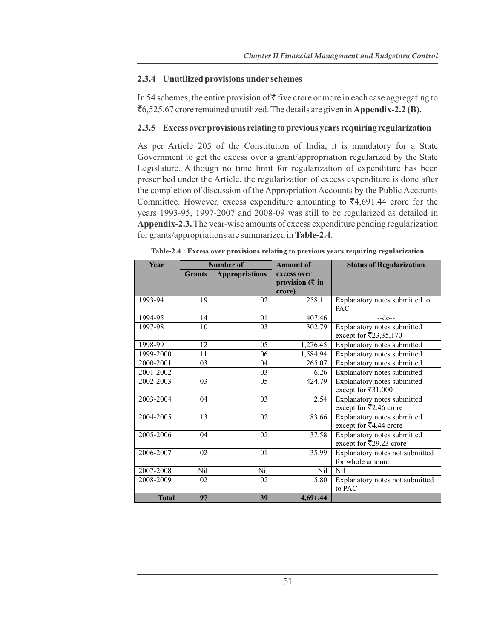#### **2.3.4 Unutilized provisions under schemes**

In 54 schemes, the entire provision of  $\bar{\tau}$  five crore or more in each case aggregating to `6,525.67 crore remained unutilized. The details are given in **Appendix-2.2 (B).**

#### **2.3.5 Excess over provisions relating to previous years requiring regularization**

As per Article 205 of the Constitution of India, it is mandatory for a State Government to get the excess over a grant/appropriation regularized by the State Legislature. Although no time limit for regularization of expenditure has been prescribed under the Article, the regularization of excess expenditure is done after the completion of discussion of the Appropriation Accounts by the Public Accounts Committee. However, excess expenditure amounting to  $\bar{z}4,691.44$  crore for the years 1993-95, 1997-2007 and 2008-09 was still to be regularized as detailed in **Appendix-2.3.** The year-wise amounts of excess expenditure pending regularization for grants/appropriations are summarized in **Table-2.4**.

| Year         | <b>Number of</b> |                       | <b>Amount of</b>            | <b>Status of Regularization</b>     |
|--------------|------------------|-----------------------|-----------------------------|-------------------------------------|
|              | <b>Grants</b>    | <b>Appropriations</b> | excess over                 |                                     |
|              |                  |                       | provision $(\bar{\zeta}$ in |                                     |
|              |                  |                       | crore)                      |                                     |
| 1993-94      | 19               | 02                    | 258.11                      | Explanatory notes submitted to      |
|              |                  |                       |                             | <b>PAC</b>                          |
| 1994-95      | 14               | 01                    | 407.46                      | $-do-$                              |
| 1997-98      | 10               | 03                    | 302.79                      | Explanatory notes submitted         |
|              |                  |                       |                             | except for ₹23,35,170               |
| 1998-99      | 12               | 05                    | 1,276.45                    | Explanatory notes submitted         |
| 1999-2000    | 11               | 06                    | 1,584.94                    | Explanatory notes submitted         |
| 2000-2001    | 03               | 04                    | 265.07                      | Explanatory notes submitted         |
| 2001-2002    |                  | 03                    | 6.26                        | Explanatory notes submitted         |
| 2002-2003    | 03               | 05                    | 424.79                      | Explanatory notes submitted         |
|              |                  |                       |                             | except for ₹31,000                  |
| 2003-2004    | 04               | 03                    | 2.54                        | Explanatory notes submitted         |
|              |                  |                       |                             | except for ₹2.46 crore              |
| 2004-2005    | 13               | 02                    | 83.66                       | Explanatory notes submitted         |
|              |                  |                       |                             | except for $\overline{5}4.44$ crore |
| 2005-2006    | 04               | 02                    | 37.58                       | Explanatory notes submitted         |
|              |                  |                       |                             | except for ₹29.23 crore             |
| 2006-2007    | 02               | 01                    | 35.99                       | Explanatory notes not submitted     |
|              |                  |                       |                             | for whole amount                    |
| 2007-2008    | Nil              | Nil                   | Nil                         | Nil                                 |
| 2008-2009    | 02               | 02                    | 5.80                        | Explanatory notes not submitted     |
|              |                  |                       |                             | to PAC                              |
| <b>Total</b> | 97               | 39                    | 4,691.44                    |                                     |

**Table-2.4 : Excess over provisions relating to previous years requiring regularization**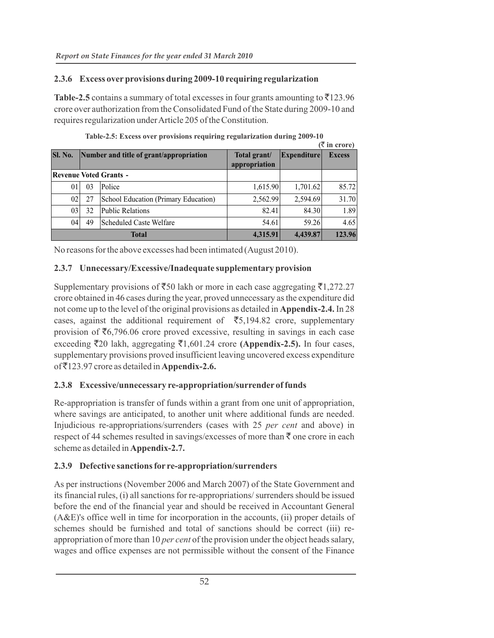#### **2.3.6 Excess over provisions during 2009-10 requiring regularization**

**Table-2.5** contains a summary of total excesses in four grants amounting to  $\bar{\tau}$ 123.96 crore over authorization from the Consolidated Fund of the State during 2009-10 and requires regularization under Article 205 of the Constitution.

|                |    |                                         |                               |                    | $($ ₹ in crore) |
|----------------|----|-----------------------------------------|-------------------------------|--------------------|-----------------|
| <b>Sl. No.</b> |    | Number and title of grant/appropriation | Total grant/<br>appropriation | <b>Expenditure</b> | <b>Excess</b>   |
|                |    | <b>Revenue Voted Grants -</b>           |                               |                    |                 |
| 01             | 03 | Police                                  | 1,615.90                      | 1,701.62           | 85.72           |
| 021            | 27 | School Education (Primary Education)    | 2,562.99                      | 2,594.69           | 31.70           |
| 03             | 32 | <b>Public Relations</b>                 | 82.41                         | 84.30              | 1.89            |
| 04             | 49 | Scheduled Caste Welfare                 | 54.61                         | 59.26              | 4.65            |
|                |    | <b>Total</b>                            | 4,315.91                      | 4,439.87           | 123.96          |

| Table-2.5: Excess over provisions requiring regularization during 2009-10 |  |  |
|---------------------------------------------------------------------------|--|--|
|                                                                           |  |  |

No reasons for the above excesses had been intimated (August 2010).

# **2.3.7 Unnecessary/Excessive/Inadequate supplementary provision**

Supplementary provisions of  $\bar{5}50$  lakh or more in each case aggregating  $\bar{5}1,272.27$ crore obtained in 46 cases during the year, proved unnecessary as the expenditure did not come up to the level of the original provisions as detailed in **Appendix-2.4.** In 28 cases, against the additional requirement of  $\bar{\bar{\zeta}}$ 5,194.82 crore, supplementary provision of  $\bar{\mathfrak{e}}_{6,796.06}$  crore proved excessive, resulting in savings in each case exceeding  $\bar{\mathcal{F}}$ 20 lakh, aggregating  $\bar{\mathcal{F}}$ 1,601.24 crore **(Appendix-2.5).** In four cases, supplementary provisions proved insufficient leaving uncovered excess expenditure of `123.97 crore as detailed in **Appendix-2.6.**

# **2.3.8 Excessive/unnecessary re-appropriation/surrender of funds**

Re-appropriation is transfer of funds within a grant from one unit of appropriation, where savings are anticipated, to another unit where additional funds are needed. Injudicious re-appropriations/surrenders (cases with 25 *per cent* and above) in respect of 44 schemes resulted in savings/excesses of more than  $\bar{\tau}$  one crore in each scheme as detailed in **Appendix-2.7.**

# **2.3.9 Defective sanctions for re-appropriation/surrenders**

As per instructions (November 2006 and March 2007) of the State Government and its financial rules, (i) all sanctions for re-appropriations/ surrenders should be issued before the end of the financial year and should be received in Accountant General (A&E)'s office well in time for incorporation in the accounts, (ii) proper details of schemes should be furnished and total of sanctions should be correct (iii) reappropriation of more than 10 *per cent* of the provision under the object heads salary, wages and office expenses are not permissible without the consent of the Finance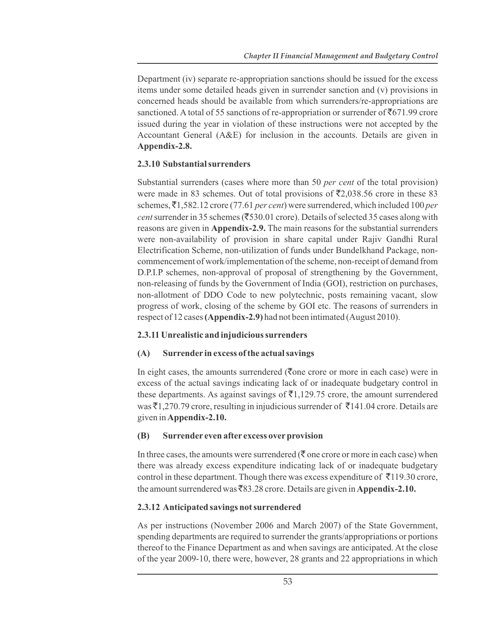Department (iv) separate re-appropriation sanctions should be issued for the excess items under some detailed heads given in surrender sanction and (v) provisions in concerned heads should be available from which surrenders/re-appropriations are sanctioned. A total of 55 sanctions of re-appropriation or surrender of  $\mathfrak{F}671.99$  crore issued during the year in violation of these instructions were not accepted by the Accountant General (A&E) for inclusion in the accounts. Details are given in **Appendix-2.8.**

# **2.3.10 Substantial surrenders**

Substantial surrenders (cases where more than 50 *per cent* of the total provision) were made in 83 schemes. Out of total provisions of  $\overline{52,038.56}$  crore in these 83 schemes,  $\bar{\mathcal{F}}$ 1,582.12 crore (77.61 *per cent*) were surrendered, which included 100 *per cent* surrender in 35 schemes ( $\overline{(}530.01$  crore). Details of selected 35 cases along with reasons are given in **Appendix-2.9.** The main reasons for the substantial surrenders were non-availability of provision in share capital under Rajiv Gandhi Rural Electrification Scheme, non-utilization of funds under Bundelkhand Package, noncommencement of work/implementation of the scheme, non-receipt of demand from D.P.I.P schemes, non-approval of proposal of strengthening by the Government, non-releasing of funds by the Government of India (GOI), restriction on purchases, non-allotment of DDO Code to new polytechnic, posts remaining vacant, slow progress of work, closing of the scheme by GOI etc. The reasons of surrenders in respect of 12 cases **(Appendix-2.9)** had not been intimated (August 2010).

# **2.3.11 Unrealistic and injudicious surrenders**

# **(A) Surrender in excess of the actual savings**

In eight cases, the amounts surrendered ( $\bar{\tau}$ one crore or more in each case) were in excess of the actual savings indicating lack of or inadequate budgetary control in these departments. As against savings of  $\bar{z}1,129.75$  crore, the amount surrendered was  $\bar{\xi}$ 1,270.79 crore, resulting in injudicious surrender of  $\bar{\xi}$ 141.04 crore. Details are given in **Appendix-2.10.**

# **(B) Surrender even after excess over provision**

In three cases, the amounts were surrendered ( $\bar{\tau}$  one crore or more in each case) when there was already excess expenditure indicating lack of or inadequate budgetary control in these department. Though there was excess expenditure of  $\bar{\tau}$ 119.30 crore, the amount surrendered was  $\overline{883.28}$  crore. Details are given in **Appendix-2.10.** 

# **2.3.12 Anticipated savings not surrendered**

As per instructions (November 2006 and March 2007) of the State Government, spending departments are required to surrender the grants/appropriations or portions thereof to the Finance Department as and when savings are anticipated. At the close of the year 2009-10, there were, however, 28 grants and 22 appropriations in which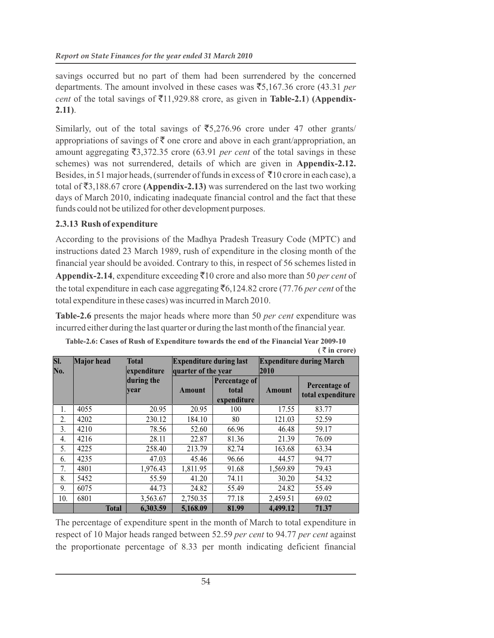savings occurred but no part of them had been surrendered by the concerned departments. The amount involved in these cases was  $\overline{5}5,167.36$  crore (43.31 per *cent* of the total savings of  $\bar{\tau}$ 11,929.88 crore, as given in **Table-2.1**) **(Appendix-2.11)**.

Similarly, out of the total savings of  $\overline{5,276.96}$  crore under 47 other grants/ appropriations of savings of  $\bar{\tau}$  one crore and above in each grant/appropriation, an amount aggregating  $\overline{53,372.35}$  crore (63.91 *per cent* of the total savings in these schemes) was not surrendered, details of which are given in **Appendix-2.12.** Besides, in 51 major heads, (surrender of funds in excess of  $\bar{\tau}10$  crore in each case), a total of  $\bar{\mathfrak{z}}_{3,188.67}$  crore (Appendix-2.13) was surrendered on the last two working days of March 2010, indicating inadequate financial control and the fact that these funds could not be utilized for other development purposes.

# **2.3.13 Rush of expenditure**

According to the provisions of the Madhya Pradesh Treasury Code (MPTC) and instructions dated 23 March 1989, rush of expenditure in the closing month of the financial year should be avoided. Contrary to this, in respect of 56 schemes listed in **Appendix-2.14**, expenditure exceeding  $\bar{\tau}$ 10 crore and also more than 50 *per cent* of the total expenditure in each case aggregating  $\bar{c}$ 6,124.82 crore (77.76 *per cent* of the total expenditure in these cases) was incurred in March 2010.

**Table-2.6** presents the major heads where more than 50 *per cent* expenditure was incurred either during the last quarter or during the last month of the financial year.

| SI.<br>No. | <b>Major</b> head | <b>Total</b><br>expenditure | <b>Expenditure during last</b><br>quarter of the year |                                       | <b>Expenditure during March</b><br>2010 |                                    |  |
|------------|-------------------|-----------------------------|-------------------------------------------------------|---------------------------------------|-----------------------------------------|------------------------------------|--|
|            |                   | during the<br>vear          | Amount                                                | Percentage of<br>total<br>expenditure | <b>Amount</b>                           | Percentage of<br>total expenditure |  |
| 1.         | 4055              | 20.95                       | 20.95                                                 | 100                                   | 17.55                                   | 83.77                              |  |
| 2.         | 4202              | 230.12                      | 184.10                                                | 80                                    | 121.03                                  | 52.59                              |  |
| 3.         | 4210              | 78.56                       | 52.60                                                 | 66.96                                 | 46.48                                   | 59.17                              |  |
| 4.         | 4216              | 28.11                       | 22.87                                                 | 81.36                                 | 21.39                                   | 76.09                              |  |
| 5.         | 4225              | 258.40                      | 213.79                                                | 82.74                                 | 163.68                                  | 63.34                              |  |
| 6.         | 4235              | 47.03                       | 45.46                                                 | 96.66                                 | 44.57                                   | 94.77                              |  |
| 7.         | 4801              | 1,976.43                    | 1,811.95                                              | 91.68                                 | 1,569.89                                | 79.43                              |  |
| 8.         | 5452              | 55.59                       | 41.20                                                 | 74.11                                 | 30.20                                   | 54.32                              |  |
| 9.         | 6075              | 44.73                       | 24.82                                                 | 55.49                                 | 24.82                                   | 55.49                              |  |
| 10.        | 6801              | 3,563.67                    | 2,750.35                                              | 77.18                                 | 2,459.51                                | 69.02                              |  |
|            | <b>Total</b>      | 6,303.59                    | 5,168.09                                              | 81.99                                 | 4,499.12                                | 71.37                              |  |

| Table-2.6: Cases of Rush of Expenditure towards the end of the Financial Year 2009-10 |                       |
|---------------------------------------------------------------------------------------|-----------------------|
|                                                                                       | $(\bar{z})$ in crore) |

The percentage of expenditure spent in the month of March to total expenditure in respect of 10 Major heads ranged between 52.59 *per cent* to 94.77 *per cent* against the proportionate percentage of 8.33 per month indicating deficient financial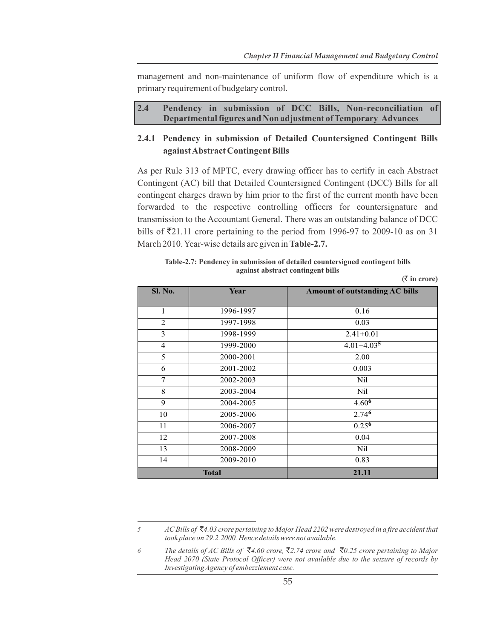management and non-maintenance of uniform flow of expenditure which is a primary requirement of budgetary control.

| 2.4 |  |  |  | Pendency in submission of DCC Bills, Non-reconciliation of    |  |
|-----|--|--|--|---------------------------------------------------------------|--|
|     |  |  |  | Departmental figures and Non adjustment of Temporary Advances |  |

#### **2.4.1 Pendency in submission of Detailed Countersigned Contingent Bills against Abstract Contingent Bills**

As per Rule 313 of MPTC, every drawing officer has to certify in each Abstract Contingent (AC) bill that Detailed Countersigned Contingent (DCC) Bills for all contingent charges drawn by him prior to the first of the current month have been forwarded to the respective controlling officers for countersignature and transmission to the Accountant General. There was an outstanding balance of DCC bills of  $\overline{5}21.11$  crore pertaining to the period from 1996-97 to 2009-10 as on 31 March 2010. Year-wise details are given in **Table-2.7.**

| Table-2.7: Pendency in submission of detailed countersigned contingent bills |  |
|------------------------------------------------------------------------------|--|
| against abstract contingent bills                                            |  |
| $\bar{\mathcal{R}}$ in crore)                                                |  |

| Sl. No.        | Year      | <b>Amount of outstanding AC bills</b> |
|----------------|-----------|---------------------------------------|
|                |           |                                       |
| 1              | 1996-1997 | 0.16                                  |
| 2              | 1997-1998 | 0.03                                  |
| 3              | 1998-1999 | $2.41 + 0.01$                         |
| $\overline{4}$ | 1999-2000 | $4.01 + 4.035$                        |
| 5              | 2000-2001 | 2.00                                  |
| 6              | 2001-2002 | 0.003                                 |
| 7              | 2002-2003 | <b>Nil</b>                            |
| 8              | 2003-2004 | Nil                                   |
| 9              | 2004-2005 | 4.60 <sup>6</sup>                     |
| 10             | 2005-2006 | 2.74 <sup>6</sup>                     |
| 11             | 2006-2007 | $0.25^{6}$                            |
| 12             | 2007-2008 | 0.04                                  |
| 13             | 2008-2009 | Nil                                   |
| 14             | 2009-2010 | 0.83                                  |
| <b>Total</b>   |           | 21.11                                 |

*<sup>5</sup> AC Bills of* `*4.03 crore pertaining to Major Head 2202 were destroyed in a fire accident that took place on 29.2.2000. Hence details were not available.*

*<sup>6</sup> The details of AC Bills of* `*4.60 crore,* `*2.74 crore and* `*0.25 crore pertaining to Major Head 2070 (State Protocol Officer) were not available due to the seizure of records by Investigating Agency of embezzlement case.*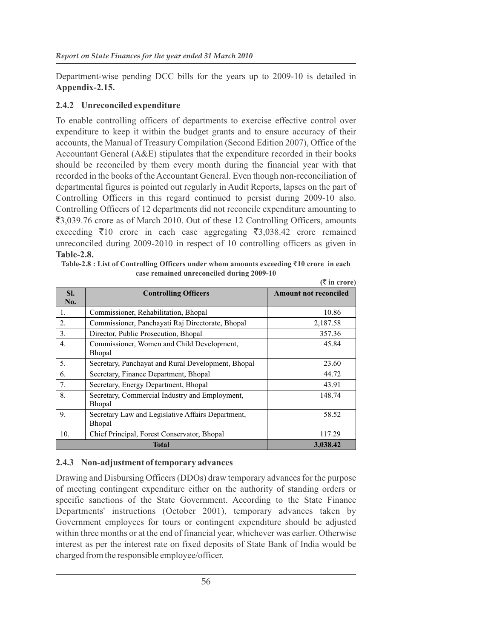Department-wise pending DCC bills for the years up to 2009-10 is detailed in **Appendix-2.15.**

#### **2.4.2 Unreconciled expenditure**

To enable controlling officers of departments to exercise effective control over expenditure to keep it within the budget grants and to ensure accuracy of their accounts, the Manual of Treasury Compilation (Second Edition 2007), Office of the Accountant General (A&E) stipulates that the expenditure recorded in their books should be reconciled by them every month during the financial year with that recorded in the books of the Accountant General. Even though non-reconciliation of departmental figures is pointed out regularly in Audit Reports, lapses on the part of Controlling Officers in this regard continued to persist during 2009-10 also. Controlling Officers of 12 departments did not reconcile expenditure amounting to ₹3,039.76 crore as of March 2010. Out of these 12 Controlling Officers, amounts exceeding  $\bar{\tau}$ 10 crore in each case aggregating  $\bar{\tau}$ 3,038.42 crore remained unreconciled during 2009-2010 in respect of 10 controlling officers as given in **Table-2.8.**

| SI.<br>No. | <b>Controlling Officers</b>                                     | <b>Amount not reconciled</b> |
|------------|-----------------------------------------------------------------|------------------------------|
|            |                                                                 |                              |
| 1.         | Commissioner, Rehabilitation, Bhopal                            | 10.86                        |
| 2.         | Commissioner, Panchayati Raj Directorate, Bhopal                | 2,187.58                     |
| 3.         | Director, Public Prosecution, Bhopal                            | 357.36                       |
| 4.         | Commissioner, Women and Child Development,<br><b>Bhopal</b>     | 45.84                        |
| 5.         | Secretary, Panchayat and Rural Development, Bhopal              | 23.60                        |
| 6.         | Secretary, Finance Department, Bhopal                           | 44.72                        |
| 7.         | Secretary, Energy Department, Bhopal                            | 43.91                        |
| 8.         | Secretary, Commercial Industry and Employment,<br><b>Bhopal</b> | 148.74                       |
| 9.         | Secretary Law and Legislative Affairs Department,<br>Bhopal     | 58.52                        |
| 10.        | Chief Principal, Forest Conservator, Bhopal                     | 117.29                       |
|            | <b>Total</b>                                                    | 3,038.42                     |

Table-2.8 : List of Controlling Officers under whom amounts exceeding ₹10 crore in each **case remained unreconciled during 2009-10 (**` **in crore)**

# **2.4.3 Non-adjustment of temporary advances**

Drawing and Disbursing Officers (DDOs) draw temporary advances for the purpose of meeting contingent expenditure either on the authority of standing orders or specific sanctions of the State Government. According to the State Finance Departments' instructions (October 2001), temporary advances taken by Government employees for tours or contingent expenditure should be adjusted within three months or at the end of financial year, whichever was earlier. Otherwise interest as per the interest rate on fixed deposits of State Bank of India would be charged from the responsible employee/officer.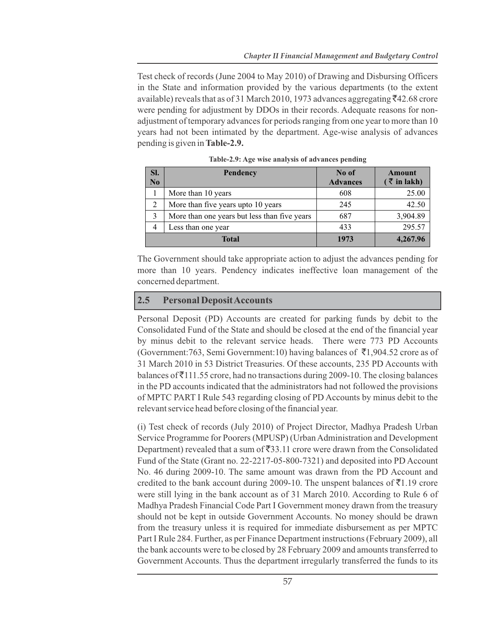Test check of records (June 2004 to May 2010) of Drawing and Disbursing Officers in the State and information provided by the various departments (to the extent available) reveals that as of 31 March 2010, 1973 advances aggregating  $\bar{\xi}$ 42.68 crore were pending for adjustment by DDOs in their records. Adequate reasons for nonadjustment of temporary advances for periods ranging from one year to more than 10 years had not been intimated by the department. Age-wise analysis of advances pending is given in **Table-2.9.**

| SI.<br>$\mathbf{N}\mathbf{0}$ | <b>Pendency</b>                              | No of<br><b>Advances</b> | <b>Amount</b><br>$(\bar{z}$ in lakh) |
|-------------------------------|----------------------------------------------|--------------------------|--------------------------------------|
|                               | More than 10 years                           | 608                      | 25.00                                |
| 2                             | More than five years upto 10 years           | 245                      | 42.50                                |
| 3                             | More than one years but less than five years | 687                      | 3,904.89                             |
| 4                             | Less than one year                           | 433                      | 295.57                               |
| <b>Total</b>                  |                                              | 1973                     | 4,267.96                             |

|  | Table-2.9: Age wise analysis of advances pending |  |
|--|--------------------------------------------------|--|
|  |                                                  |  |

The Government should take appropriate action to adjust the advances pending for more than 10 years. Pendency indicates ineffective loan management of the concerned department.

#### **2.5 Personal Deposit Accounts**

Personal Deposit (PD) Accounts are created for parking funds by debit to the Consolidated Fund of the State and should be closed at the end of the financial year by minus debit to the relevant service heads. There were 773 PD Accounts (Government:763, Semi Government:10) having balances of  $\bar{\tau}$ 1,904.52 crore as of 31 March 2010 in 53 District Treasuries. Of these accounts, 235 PD Accounts with balances of  $\bar{\tau}$ 111.55 crore, had no transactions during 2009-10. The closing balances in the PD accounts indicated that the administrators had not followed the provisions of MPTC PART I Rule 543 regarding closing of PD Accounts by minus debit to the relevant service head before closing of the financial year.

(i) Test check of records (July 2010) of Project Director, Madhya Pradesh Urban Service Programme for Poorers (MPUSP) (Urban Administration and Development Department) revealed that a sum of  $\bar{z}$ 33.11 crore were drawn from the Consolidated Fund of the State (Grant no. 22-2217-05-800-7321) and deposited into PD Account No. 46 during 2009-10. The same amount was drawn from the PD Account and credited to the bank account during 2009-10. The unspent balances of  $\bar{\tau}$ 1.19 crore were still lying in the bank account as of 31 March 2010. According to Rule 6 of Madhya Pradesh Financial Code Part I Government money drawn from the treasury should not be kept in outside Government Accounts. No money should be drawn from the treasury unless it is required for immediate disbursement as per MPTC Part I Rule 284. Further, as per Finance Department instructions (February 2009), all the bank accounts were to be closed by 28 February 2009 and amounts transferred to Government Accounts. Thus the department irregularly transferred the funds to its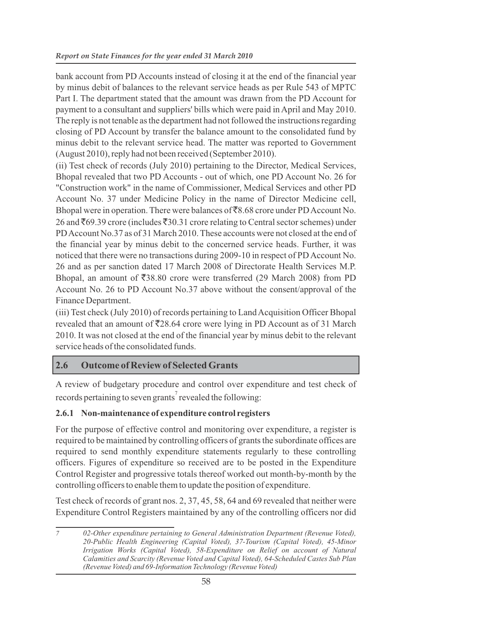bank account from PD Accounts instead of closing it at the end of the financial year by minus debit of balances to the relevant service heads as per Rule 543 of MPTC Part I. The department stated that the amount was drawn from the PD Account for payment to a consultant and suppliers' bills which were paid in April and May 2010. The reply is not tenable as the department had not followed the instructions regarding closing of PD Account by transfer the balance amount to the consolidated fund by minus debit to the relevant service head. The matter was reported to Government (August 2010), reply had not been received (September 2010).

(ii) Test check of records (July 2010) pertaining to the Director, Medical Services, Bhopal revealed that two PD Accounts - out of which, one PD Account No. 26 for "Construction work" in the name of Commissioner, Medical Services and other PD Account No. 37 under Medicine Policy in the name of Director Medicine cell, Bhopal were in operation. There were balances of  $\overline{88.68}$  crore under PD Account No. 26 and ₹69.39 crore (includes ₹30.31 crore relating to Central sector schemes) under PD Account No.37 as of 31 March 2010. These accounts were not closed at the end of the financial year by minus debit to the concerned service heads. Further, it was noticed that there were no transactions during 2009-10 in respect of PD Account No. 26 and as per sanction dated 17 March 2008 of Directorate Health Services M.P. Bhopal, an amount of  $\overline{$}38.80$  crore were transferred (29 March 2008) from PD Account No. 26 to PD Account No.37 above without the consent/approval of the Finance Department.

(iii) Test check (July 2010) of records pertaining to Land Acquisition Officer Bhopal revealed that an amount of  $\overline{5}28.64$  crore were lying in PD Account as of 31 March 2010. It was not closed at the end of the financial year by minus debit to the relevant service heads of the consolidated funds.

# **2.6 Outcome of Review of Selected Grants**

A review of budgetary procedure and control over expenditure and test check of records pertaining to seven grants<sup>7</sup> revealed the following:

# **2.6.1 Non-maintenance of expenditure control registers**

For the purpose of effective control and monitoring over expenditure, a register is required to be maintained by controlling officers of grants the subordinate offices are required to send monthly expenditure statements regularly to these controlling officers. Figures of expenditure so received are to be posted in the Expenditure Control Register and progressive totals thereof worked out month-by-month by the controlling officers to enable them to update the position of expenditure.

Test check of records of grant nos. 2, 37, 45, 58, 64 and 69 revealed that neither were Expenditure Control Registers maintained by any of the controlling officers nor did

*<sup>7</sup> 02-Other expenditure pertaining to General Administration Department (Revenue Voted), 20-Public Health Engineering (Capital Voted), 37-Tourism (Capital Voted), 45-Minor Irrigation Works (Capital Voted), 58-Expenditure on Relief on account of Natural Calamities and Scarcity (Revenue Voted and Capital Voted), 64-Scheduled Castes Sub Plan (Revenue Voted) and 69-Information Technology (Revenue Voted)*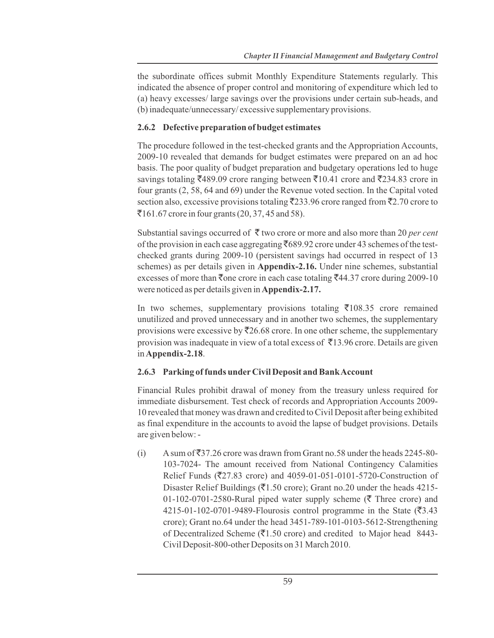the subordinate offices submit Monthly Expenditure Statements regularly. This indicated the absence of proper control and monitoring of expenditure which led to (a) heavy excesses/ large savings over the provisions under certain sub-heads, and (b) inadequate/unnecessary/ excessive supplementary provisions.

#### **2.6.2 Defective preparation of budget estimates**

The procedure followed in the test-checked grants and the Appropriation Accounts, 2009-10 revealed that demands for budget estimates were prepared on an ad hoc basis. The poor quality of budget preparation and budgetary operations led to huge savings totaling  $\overline{5}489.09$  crore ranging between  $\overline{5}10.41$  crore and  $\overline{5}234.83$  crore in four grants (2, 58, 64 and 69) under the Revenue voted section. In the Capital voted section also, excessive provisions totaling  $\overline{2}233.96$  crore ranged from  $\overline{2}2.70$  crore to  $\overline{5}161.67$  crore in four grants (20, 37, 45 and 58).

Substantial savings occurred of  $\bar{\tau}$  two crore or more and also more than 20 *per cent* of the provision in each case aggregating  $\bar{F}689.92$  crore under 43 schemes of the testchecked grants during 2009-10 (persistent savings had occurred in respect of 13 schemes) as per details given in **Appendix-2.16.** Under nine schemes, substantial excesses of more than  $\overline{\xi}$  one crore in each case totaling  $\overline{\xi}$ 44.37 crore during 2009-10 were noticed as per details given in **Appendix-2.17.**

In two schemes, supplementary provisions totaling  $\bar{\tau}$ 108.35 crore remained unutilized and proved unnecessary and in another two schemes, the supplementary provisions were excessive by  $\overline{2}26.68$  crore. In one other scheme, the supplementary provision was inadequate in view of a total excess of  $\bar{\tau}$ 13.96 crore. Details are given in **Appendix-2.18**.

# **2.6.3 Parking of funds under Civil Deposit and Bank Account**

Financial Rules prohibit drawal of money from the treasury unless required for immediate disbursement. Test check of records and Appropriation Accounts 2009- 10 revealed that money was drawn and credited to Civil Deposit after being exhibited as final expenditure in the accounts to avoid the lapse of budget provisions. Details are given below: -

(i) A sum of  $\bar{z}$ 37.26 crore was drawn from Grant no.58 under the heads 2245-80-103-7024- The amount received from National Contingency Calamities Relief Funds ( $\overline{527.83}$  crore) and 4059-01-051-0101-5720-Construction of Disaster Relief Buildings ( $\bar{z}$ 1.50 crore); Grant no.20 under the heads 4215-01-102-0701-2580-Rural piped water supply scheme ( $\bar{\tau}$  Three crore) and 4215-01-102-0701-9489-Flourosis control programme in the State  $(\overline{3}, 43)$ crore); Grant no.64 under the head 3451-789-101-0103-5612-Strengthening of Decentralized Scheme ( $\overline{(}1.50$  crore) and credited to Major head 8443-Civil Deposit-800-other Deposits on 31 March 2010.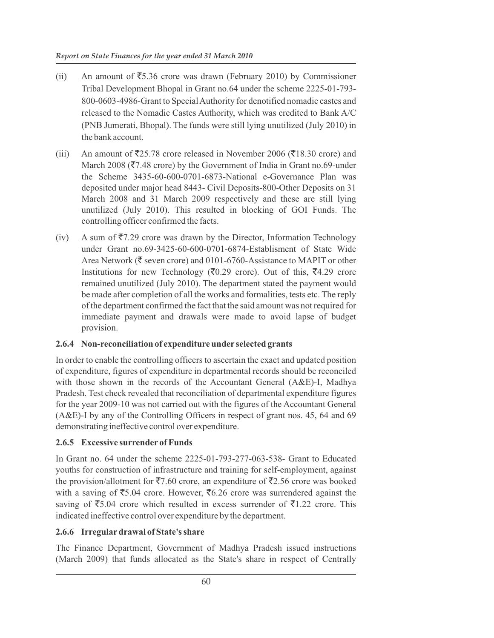- (ii) An amount of  $\overline{5}5.36$  crore was drawn (February 2010) by Commissioner Tribal Development Bhopal in Grant no.64 under the scheme 2225-01-793- 800-0603-4986-Grant to Special Authority for denotified nomadic castes and released to the Nomadic Castes Authority, which was credited to Bank A/C (PNB Jumerati, Bhopal). The funds were still lying unutilized (July 2010) in the bank account.
- (iii) An amount of  $\overline{5}25.78$  crore released in November 2006 ( $\overline{5}18.30$  crore) and March 2008 ( $\overline{57.48}$  crore) by the Government of India in Grant no.69-under the Scheme 3435-60-600-0701-6873-National e-Governance Plan was deposited under major head 8443- Civil Deposits-800-Other Deposits on 31 March 2008 and 31 March 2009 respectively and these are still lying unutilized (July 2010). This resulted in blocking of GOI Funds. The controlling officer confirmed the facts.
- (iv) A sum of  $\overline{57.29}$  crore was drawn by the Director, Information Technology under Grant no.69-3425-60-600-0701-6874-Establisment of State Wide Area Network ( $\bar{\tau}$  seven crore) and 0101-6760-Assistance to MAPIT or other Institutions for new Technology ( $\overline{(}0.29)$  crore). Out of this,  $\overline{(}4.29)$  crore remained unutilized (July 2010). The department stated the payment would be made after completion of all the works and formalities, tests etc. The reply of the department confirmed the fact that the said amount was not required for immediate payment and drawals were made to avoid lapse of budget provision.

#### **2.6.4 Non-reconciliation of expenditure under selected grants**

In order to enable the controlling officers to ascertain the exact and updated position of expenditure, figures of expenditure in departmental records should be reconciled with those shown in the records of the Accountant General (A&E)-I, Madhya Pradesh. Test check revealed that reconciliation of departmental expenditure figures for the year 2009-10 was not carried out with the figures of the Accountant General (A&E)-I by any of the Controlling Officers in respect of grant nos. 45, 64 and 69 demonstrating ineffective control over expenditure.

#### **2.6.5 Excessive surrender of Funds**

In Grant no. 64 under the scheme 2225-01-793-277-063-538- Grant to Educated youths for construction of infrastructure and training for self-employment, against the provision/allotment for  $\overline{57.60}$  crore, an expenditure of  $\overline{52.56}$  crore was booked with a saving of  $\overline{55.04}$  crore. However,  $\overline{56.26}$  crore was surrendered against the saving of  $\overline{55.04}$  crore which resulted in excess surrender of  $\overline{51.22}$  crore. This indicated ineffective control over expenditure by the department.

#### **2.6.6 Irregular drawal of State's share**

The Finance Department, Government of Madhya Pradesh issued instructions (March 2009) that funds allocated as the State's share in respect of Centrally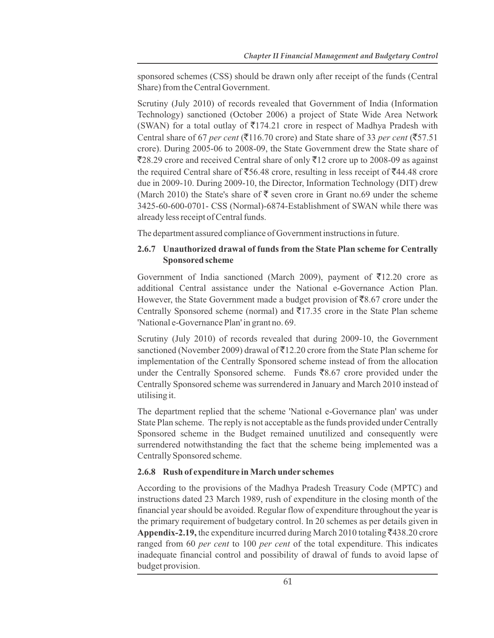sponsored schemes (CSS) should be drawn only after receipt of the funds (Central Share) from the Central Government.

Scrutiny (July 2010) of records revealed that Government of India (Information Technology) sanctioned (October 2006) a project of State Wide Area Network (SWAN) for a total outlay of  $\overline{5}174.21$  crore in respect of Madhya Pradesh with Central share of 67 *per cent* ( $\overline{(}116.70$  crore) and State share of 33 *per cent* ( $\overline{(}57.51$ ) crore). During 2005-06 to 2008-09, the State Government drew the State share of  $\overline{2}28.29$  crore and received Central share of only  $\overline{2}12$  crore up to 2008-09 as against the required Central share of  $\overline{5}56.48$  crore, resulting in less receipt of  $\overline{5}44.48$  crore due in 2009-10. During 2009-10, the Director, Information Technology (DIT) drew (March 2010) the State's share of  $\bar{\tau}$  seven crore in Grant no.69 under the scheme 3425-60-600-0701- CSS (Normal)-6874-Establishment of SWAN while there was already less receipt of Central funds.

The department assured compliance of Government instructions in future.

# **2.6.7 Unauthorized drawal of funds from the State Plan scheme for Centrally Sponsored scheme**

Government of India sanctioned (March 2009), payment of  $\bar{\tau}$ 12.20 crore as additional Central assistance under the National e-Governance Action Plan. However, the State Government made a budget provision of  $\bar{\mathcal{R}}8.67$  crore under the Centrally Sponsored scheme (normal) and  $\overline{5}17.35$  crore in the State Plan scheme 'National e-Governance Plan' in grant no. 69.

Scrutiny (July 2010) of records revealed that during 2009-10, the Government sanctioned (November 2009) drawal of  $\bar{5}12.20$  crore from the State Plan scheme for implementation of the Centrally Sponsored scheme instead of from the allocation under the Centrally Sponsored scheme. Funds  $\bar{z}8.67$  crore provided under the Centrally Sponsored scheme was surrendered in January and March 2010 instead of utilising it.

The department replied that the scheme 'National e-Governance plan' was under State Plan scheme. The reply is not acceptable as the funds provided under Centrally Sponsored scheme in the Budget remained unutilized and consequently were surrendered notwithstanding the fact that the scheme being implemented was a Centrally Sponsored scheme.

# **2.6.8 Rush of expenditure in March under schemes**

According to the provisions of the Madhya Pradesh Treasury Code (MPTC) and instructions dated 23 March 1989, rush of expenditure in the closing month of the financial year should be avoided. Regular flow of expenditure throughout the year is the primary requirement of budgetary control. In 20 schemes as per details given in **Appendix-2.19,** the expenditure incurred during March 2010 totaling  $\bar{\xi}$ 438.20 crore ranged from 60 *per cent* to 100 *per cent* of the total expenditure. This indicates inadequate financial control and possibility of drawal of funds to avoid lapse of budget provision.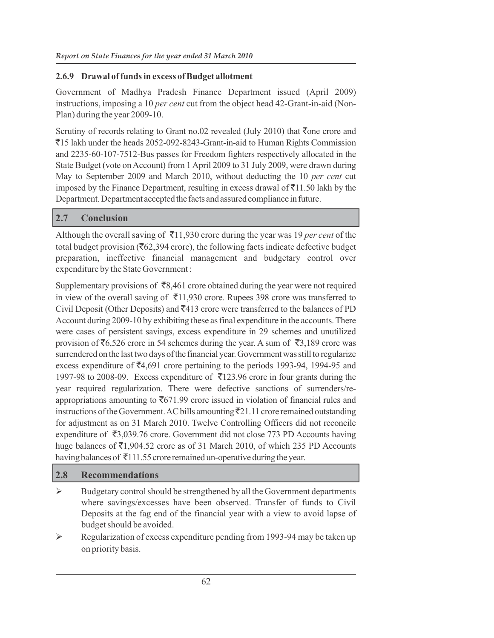#### **2.6.9 Drawal of funds in excess of Budget allotment**

Government of Madhya Pradesh Finance Department issued (April 2009) instructions, imposing a 10 *per cent* cut from the object head 42-Grant-in-aid (Non-Plan) during the year 2009-10.

Scrutiny of records relating to Grant no.02 revealed (July 2010) that  $\bar{\tau}$ one crore and `15 lakh under the heads 2052-092-8243-Grant-in-aid to Human Rights Commission and 2235-60-107-7512-Bus passes for Freedom fighters respectively allocated in the State Budget (vote on Account) from 1 April 2009 to 31 July 2009, were drawn during May to September 2009 and March 2010, without deducting the 10 *per cent* cut imposed by the Finance Department, resulting in excess drawal of  $\bar{z}$ 11.50 lakh by the Department. Department accepted the facts and assured compliance in future.

#### **2.7 Conclusion**

Although the overall saving of  $\bar{\tau}$ 11,930 crore during the year was 19 *per cent* of the total budget provision ( $\overline{\mathfrak{F}}62,394$  crore), the following facts indicate defective budget preparation, ineffective financial management and budgetary control over expenditure by the State Government :

Supplementary provisions of  $\bar{\bar{\mathbf{z}}}$ 8,461 crore obtained during the year were not required in view of the overall saving of  $\bar{\tau}$ 11,930 crore. Rupees 398 crore was transferred to Civil Deposit (Other Deposits) and  $\overline{z}413$  crore were transferred to the balances of PD Account during 2009-10 by exhibiting these as final expenditure in the accounts. There were cases of persistent savings, excess expenditure in 29 schemes and unutilized provision of  $\bar{c}6,526$  crore in 54 schemes during the year. A sum of  $\bar{c}3,189$  crore was surrendered on the last two days of the financial year. Government was still to regularize excess expenditure of  $\bar{c}4,691$  crore pertaining to the periods 1993-94, 1994-95 and 1997-98 to 2008-09. Excess expenditure of  $\overline{5}123.96$  crore in four grants during the year required regularization. There were defective sanctions of surrenders/reappropriations amounting to  $\bar{c}671.99$  crore issued in violation of financial rules and instructions of the Government. AC bills amounting  $\overline{z}21.11$  crore remained outstanding for adjustment as on 31 March 2010. Twelve Controlling Officers did not reconcile expenditure of  $\overline{53,039.76}$  crore. Government did not close 773 PD Accounts having huge balances of  $\bar{\mathfrak{c}}$ 1,904.52 crore as of 31 March 2010, of which 235 PD Accounts having balances of  $\bar{\tau}$ 111.55 crore remained un-operative during the year.

#### **2.8 Recommendations**

- $\triangleright$  Budgetary control should be strengthened by all the Government departments where savings/excesses have been observed. Transfer of funds to Civil Deposits at the fag end of the financial year with a view to avoid lapse of budget should be avoided.
- $\triangleright$  Regularization of excess expenditure pending from 1993-94 may be taken up on priority basis.